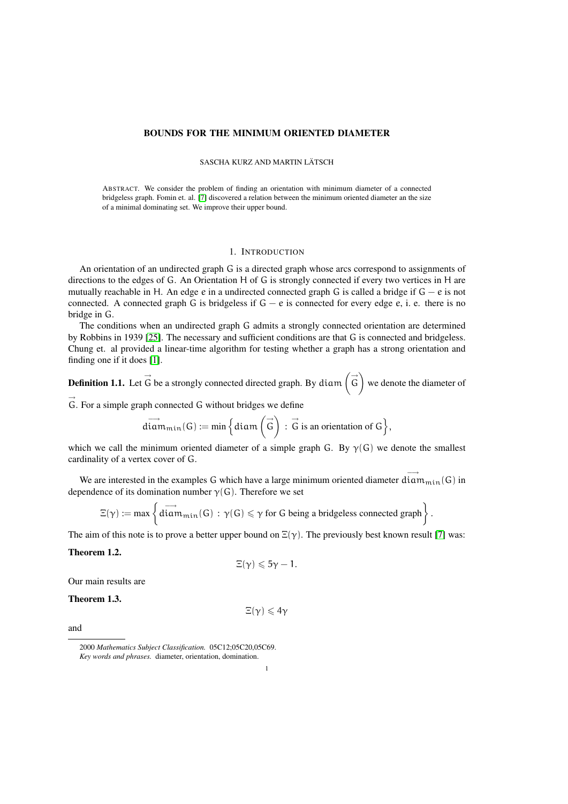# BOUNDS FOR THE MINIMUM ORIENTED DIAMETER

# SASCHA KURZ AND MARTIN LÄTSCH

ABSTRACT. We consider the problem of finding an orientation with minimum diameter of a connected bridgeless graph. Fomin et. al. [\[7\]](#page-20-0) discovered a relation between the minimum oriented diameter an the size of a minimal dominating set. We improve their upper bound.

## 1. INTRODUCTION

An orientation of an undirected graph G is a directed graph whose arcs correspond to assignments of directions to the edges of G. An Orientation H of G is strongly connected if every two vertices in H are mutually reachable in H. An edge e in a undirected connected graph G is called a bridge if  $G - e$  is not connected. A connected graph G is bridgeless if  $G - e$  is connected for every edge e, i. e. there is no bridge in G.

The conditions when an undirected graph G admits a strongly connected orientation are determined by Robbins in 1939 [\[25\]](#page-20-1). The necessary and sufficient conditions are that G is connected and bridgeless. Chung et. al provided a linear-time algorithm for testing whether a graph has a strong orientation and finding one if it does [\[1\]](#page-20-2).

**Definition 1.1.** Let  $\overrightarrow{G}$  be a strongly connected directed graph. By diam  $(\overrightarrow{G})$  we denote the diameter of

 $\vec{G}$ . For a simple graph connected G without bridges we define

$$
\overrightarrow{\operatorname{diam}}_{\min}(G):=\min\Big\{\operatorname{diam}\left(\overrightarrow{G}\right)\,:\,\overrightarrow{G}\text{ is an orientation of }G\Big\},
$$

which we call the minimum oriented diameter of a simple graph G. By  $\gamma(G)$  we denote the smallest cardinality of a vertex cover of G.

We are interested in the examples G which have a large minimum oriented diameter  $\dim_{\min}(G)$  in dependence of its domination number  $\gamma(G)$ . Therefore we set

$$
\Xi(\gamma):=\text{max}\left\{\stackrel{\longrightarrow}{diam}_{\text{min}}(G)\,:\,\gamma(G)\leqslant \gamma\text{ for $G$ being a bridgeless connected graph}\right\}.
$$

The aim of this note is to prove a better upper bound on  $\Xi(\gamma)$ . The previously best known result [\[7\]](#page-20-0) was:

<span id="page-0-0"></span>Theorem 1.2.

$$
\Xi(\gamma)\leqslant 5\gamma-1.
$$

<span id="page-0-1"></span>Our main results are

Theorem 1.3.

$$
\Xi(\gamma)\leqslant 4\gamma
$$

<span id="page-0-2"></span>and

<sup>2000</sup> *Mathematics Subject Classification.* 05C12;05C20,05C69. *Key words and phrases.* diameter, orientation, domination.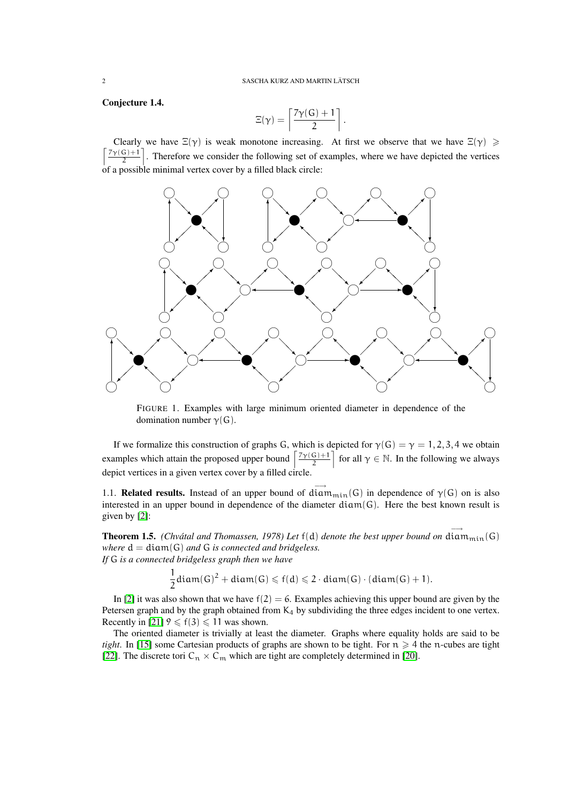Conjecture 1.4.

$$
\Xi(\gamma)=\left\lceil\frac{7\gamma(G)+1}{2}\right\rceil.
$$

Clearly we have  $\Xi(\gamma)$  is weak monotone increasing. At first we observe that we have  $\Xi(\gamma) \geq$  $\int \frac{7\gamma(G)+1}{\gamma(G)}$  $\frac{(G)+1}{2}$ . Therefore we consider the following set of examples, where we have depicted the vertices of a possible minimal vertex cover by a filled black circle:



<span id="page-1-0"></span>FIGURE 1. Examples with large minimum oriented diameter in dependence of the domination number  $\gamma(G)$ .

If we formalize this construction of graphs G, which is depicted for  $\gamma(G) = \gamma = 1, 2, 3, 4$  we obtain examples which attain the proposed upper bound  $\left[\frac{7\gamma(G)+1}{2}\right]$  $\left[\frac{G}{2} + 1\right]$  for all  $\gamma \in \mathbb{N}$ . In the following we always depict vertices in a given vertex cover by a filled circle.

1.1. **Related results.** Instead of an upper bound of  $\overrightarrow{diam_{min}}(G)$  in dependence of  $\gamma(G)$  on is also interested in an upper bound in dependence of the diameter  $diam(G)$ . Here the best known result is given by [\[2\]](#page-20-3):

**Theorem 1.5.** *(Chvátal and Thomassen, 1978) Let*  $f(d)$  *denote the best upper bound on*  $\overrightarrow{diam_{min}}(G)$ *where* d = diam(G) *and* G *is connected and bridgeless. If* G *is a connected bridgeless graph then we have*

$$
\frac{1}{2} \operatorname{diam}(G)^2 + \operatorname{diam}(G) \leqslant f(d) \leqslant 2 \cdot \operatorname{diam}(G) \cdot (\operatorname{diam}(G) + 1).
$$

In [\[2\]](#page-20-3) it was also shown that we have  $f(2) = 6$ . Examples achieving this upper bound are given by the Petersen graph and by the graph obtained from  $K_4$  by subdividing the three edges incident to one vertex. Recently in [\[21\]](#page-20-4)  $9 \le f(3) \le 11$  was shown.

The oriented diameter is trivially at least the diameter. Graphs where equality holds are said to be *tight*. In [\[15\]](#page-20-5) some Cartesian products of graphs are shown to be tight. For  $n \geq 4$  the n-cubes are tight [\[22\]](#page-20-6). The discrete tori  $C_n \times C_m$  which are tight are completely determined in [\[20\]](#page-20-7).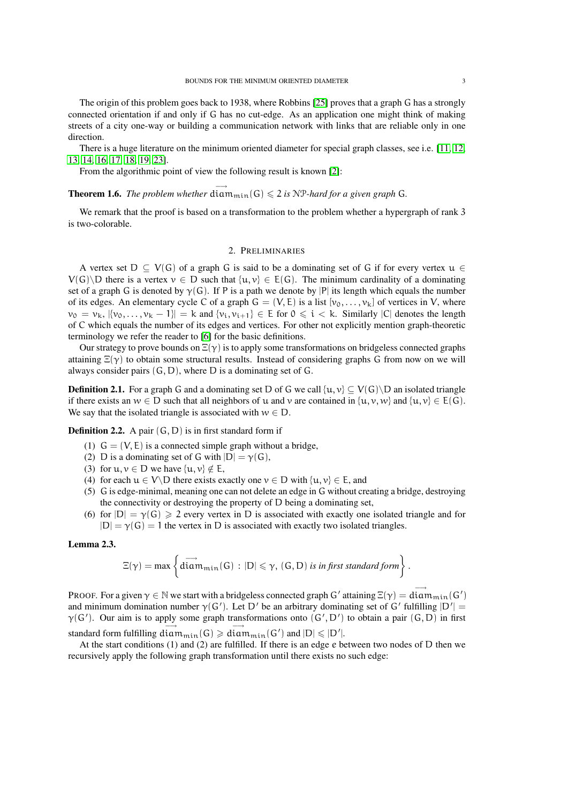The origin of this problem goes back to 1938, where Robbins [\[25\]](#page-20-1) proves that a graph G has a strongly connected orientation if and only if G has no cut-edge. As an application one might think of making streets of a city one-way or building a communication network with links that are reliable only in one direction.

There is a huge literature on the minimum oriented diameter for special graph classes, see i.e. [\[11,](#page-20-8) [12,](#page-20-9) [13,](#page-20-10) [14,](#page-20-11) [16,](#page-20-12) [17,](#page-20-13) [18,](#page-20-14) [19,](#page-20-15) [23\]](#page-20-16).

From the algorithmic point of view the following result is known [\[2\]](#page-20-3):

**Theorem 1.6.** *The problem whether*  $\overrightarrow{\text{diam}_{min}}(G) \leq 2$  *is* NP-hard for a given graph G.

We remark that the proof is based on a transformation to the problem whether a hypergraph of rank 3 is two-colorable.

# 2. PRELIMINARIES

A vertex set  $D \subseteq V(G)$  of a graph G is said to be a dominating set of G if for every vertex  $u \in$  $V(G)\ D$  there is a vertex  $v \in D$  such that  $\{u, v\} \in E(G)$ . The minimum cardinality of a dominating set of a graph G is denoted by  $\gamma(G)$ . If P is a path we denote by |P| its length which equals the number of its edges. An elementary cycle C of a graph  $G = (V, E)$  is a list  $[v_0, \ldots, v_k]$  of vertices in V, where  $v_0 = v_k$ ,  $[\{v_0, \ldots, v_k - 1\}] = k$  and  $\{v_i, v_{i+1}\} \in E$  for  $0 \leq i \leq k$ . Similarly  $|C|$  denotes the length of C which equals the number of its edges and vertices. For other not explicitly mention graph-theoretic terminology we refer the reader to [\[6\]](#page-20-17) for the basic definitions.

Our strategy to prove bounds on  $\Xi(\gamma)$  is to apply some transformations on bridgeless connected graphs attaining  $\Xi(\gamma)$  to obtain some structural results. Instead of considering graphs G from now on we will always consider pairs  $(G, D)$ , where D is a dominating set of G.

**Definition 2.1.** For a graph G and a dominating set D of G we call  $\{u, v\} \subset V(G) \setminus D$  an isolated triangle if there exists an  $w \in D$  such that all neighbors of u and v are contained in  $\{u, v, w\}$  and  $\{u, v\} \in E(G)$ . We say that the isolated triangle is associated with  $w \in D$ .

<span id="page-2-0"></span>**Definition 2.2.** A pair  $(G, D)$  is in first standard form if

- (1)  $G = (V, E)$  is a connected simple graph without a bridge,
- (2) D is a dominating set of G with  $|D| = \gamma(G)$ ,
- (3) for  $u, v \in D$  we have  $\{u, v\} \notin E$ ,
- (4) for each  $u \in V \backslash D$  there exists exactly one  $v \in D$  with  $\{u, v\} \in E$ , and
- (5) G is edge-minimal, meaning one can not delete an edge in G without creating a bridge, destroying the connectivity or destroying the property of D being a dominating set,
- (6) for  $|D| = \gamma(G) \ge 2$  every vertex in D is associated with exactly one isolated triangle and for  $|D| = \gamma(G) = 1$  the vertex in D is associated with exactly two isolated triangles.

## <span id="page-2-1"></span>Lemma 2.3.

$$
\Xi(\gamma)=\text{max}\left\{\stackrel{\longrightarrow}{\text{diam}_{\text{min}}}(G)\,:\,|D|\leqslant \gamma,\,(G,D)\text{ is in first standard form}\right\}.
$$

PROOF. For a given  $\gamma \in \mathbb{N}$  we start with a bridgeless connected graph G' attaining  $\Xi(\gamma) = \frac{1}{\text{diam}_{\text{min}}(G')}$ and minimum domination number  $\gamma(G')$ . Let D' be an arbitrary dominating set of G' fulfilling  $|D'| =$  $\gamma(G')$ . Our aim is to apply some graph transformations onto  $(G', D')$  to obtain a pair  $(G, D)$  in first standard form fulfilling  $\dim_{\min}(G) \geq \dim_{\min}(G')$  and  $|D| \leq |D'|$ .

At the start conditions (1) and (2) are fulfilled. If there is an edge e between two nodes of D then we recursively apply the following graph transformation until there exists no such edge: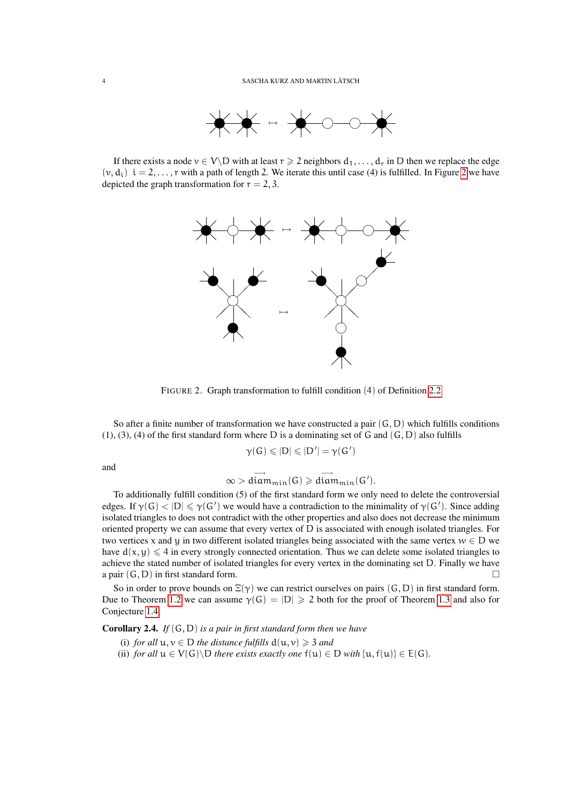

If there exists a node  $v \in V \backslash D$  with at least  $r \geq 2$  neighbors  $d_1, \ldots, d_r$  in D then we replace the edge  $(v, d_i)$   $i = 2, \ldots, r$  $i = 2, \ldots, r$  $i = 2, \ldots, r$  with a path of length 2. We iterate this until case (4) is fulfilled. In Figure 2 we have depicted the graph transformation for  $r = 2, 3$ .



<span id="page-3-0"></span>FIGURE 2. Graph transformation to fulfill condition (4) of Definition [2.2](#page-2-0)

So after a finite number of transformation we have constructed a pair  $(G, D)$  which fulfills conditions  $(1)$ ,  $(3)$ ,  $(4)$  of the first standard form where D is a dominating set of G and  $(G, D)$  also fulfills

$$
\gamma(G)\leqslant|D|\leqslant|D'|=\gamma(G')
$$

and

$$
\infty > \overrightarrow{\text{diam}_{\min}(G)} \geqslant \overrightarrow{\text{diam}_{\min}(G')}.
$$

To additionally fulfill condition (5) of the first standard form we only need to delete the controversial edges. If  $\gamma(G)$   $\langle |D| \le \gamma(G')$  we would have a contradiction to the minimality of  $\gamma(G')$ . Since adding isolated triangles to does not contradict with the other properties and also does not decrease the minimum oriented property we can assume that every vertex of D is associated with enough isolated triangles. For two vertices x and y in two different isolated triangles being associated with the same vertex  $w \in D$  we have  $d(x, y) \leq 4$  in every strongly connected orientation. Thus we can delete some isolated triangles to achieve the stated number of isolated triangles for every vertex in the dominating set D. Finally we have a pair  $(G, D)$  in first standard form.

So in order to prove bounds on  $\Xi(\gamma)$  we can restrict ourselves on pairs (G, D) in first standard form. Due to Theorem [1.2](#page-0-0) we can assume  $\gamma(G) = |D| \ge 2$  both for the proof of Theorem [1.3](#page-0-1) and also for Conjecture [1.4.](#page-0-2)

Corollary 2.4. *If* (G, D) *is a pair in first standard form then we have*

- (i) *for all*  $u, v \in D$  *the distance fulfills*  $d(u, v) \geq 3$  *and*
- (ii) *for all*  $u \in V(G) \setminus D$  *there exists exactly one*  $f(u) \in D$  *with*  $\{u, f(u)\} \in E(G)$ *.*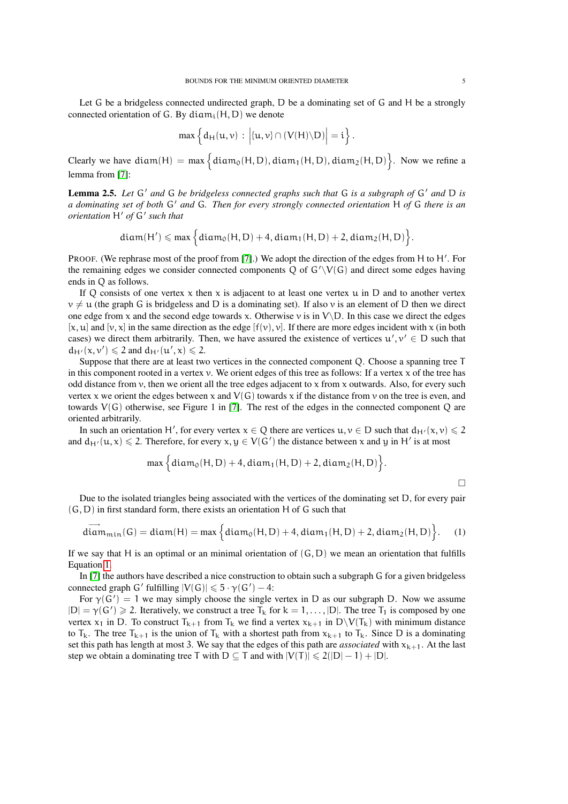Let G be a bridgeless connected undirected graph, D be a dominating set of G and H be a strongly connected orientation of G. By diam<sub>i</sub> $(H, D)$  we denote

$$
\max \left\{ d_H(u,v) : \left| \{u,v\} \cap (V(H) \backslash D) \right| = i \right\}.
$$

Clearly we have  $diam(H) = max \{ diam_0(H, D), diam_1(H, D), diam_2(H, D) \}$ . Now we refine a lemma from [\[7\]](#page-20-0):

<span id="page-4-1"></span>**Lemma 2.5.** Let G' and G be bridgeless connected graphs such that G is a subgraph of G' and D is *a dominating set of both* G' *and* G. Then for every strongly connected orientation H *of* G *there is an orientation* H' of G' such that

$$
diam(H') \leqslant max \Big\{ diam_0(H,D) + 4, diam_1(H,D) + 2, diam_2(H,D) \Big\}.
$$

PROOF. (We rephrase most of the proof from [\[7\]](#page-20-0).) We adopt the direction of the edges from H to H'. For the remaining edges we consider connected components Q of  $G'\V(G)$  and direct some edges having ends in Q as follows.

If Q consists of one vertex x then x is adjacent to at least one vertex u in D and to another vertex  $v \neq u$  (the graph G is bridgeless and D is a dominating set). If also v is an element of D then we direct one edge from x and the second edge towards x. Otherwise v is in  $V\backslash D$ . In this case we direct the edges  $[x, u]$  and  $[y, x]$  in the same direction as the edge  $[f(y), y]$ . If there are more edges incident with x (in both cases) we direct them arbitrarily. Then, we have assured the existence of vertices  $u', v' \in D$  such that  $d_{H'}(x, v') \leq 2$  and  $d_{H'}(u', x) \leq 2$ .

Suppose that there are at least two vertices in the connected component Q. Choose a spanning tree T in this component rooted in a vertex  $v$ . We orient edges of this tree as follows: If a vertex  $x$  of the tree has odd distance from  $v$ , then we orient all the tree edges adjacent to  $x$  from  $x$  outwards. Also, for every such vertex x we orient the edges between x and  $V(G)$  towards x if the distance from y on the tree is even, and towards  $V(G)$  otherwise, see Figure 1 in [\[7\]](#page-20-0). The rest of the edges in the connected component Q are oriented arbitrarily.

In such an orientation H', for every vertex  $x \in Q$  there are vertices  $u, v \in D$  such that  $d_{H'}(x, v) \leq 2$ and  $d_{H'}(u, x) \leq 2$ . Therefore, for every  $x, y \in V(G')$  the distance between x and y in H' is at most

$$
\max \Big\{ diam_0(H, D) + 4, diam_1(H, D) + 2, diam_2(H, D) \Big\}.
$$

 $\Box$ 

Due to the isolated triangles being associated with the vertices of the dominating set D, for every pair  $(G, D)$  in first standard form, there exists an orientation H of G such that

<span id="page-4-0"></span>
$$
\overrightarrow{\text{diam}}_{\text{min}}(G) = \text{diam}(H) = \max \Big\{ \text{diam}_0(H, D) + 4, \text{diam}_1(H, D) + 2, \text{diam}_2(H, D) \Big\}. \tag{1}
$$

If we say that H is an optimal or an minimal orientation of  $(G, D)$  we mean an orientation that fulfills Equation [1.](#page-4-0)

In [\[7\]](#page-20-0) the authors have described a nice construction to obtain such a subgraph G for a given bridgeless connected graph G' fulfilling  $|V(G)| \leq 5 \cdot \gamma(G') - 4$ :

For  $\gamma(G') = 1$  we may simply choose the single vertex in D as our subgraph D. Now we assume  $|D| = \gamma(G') \ge 2$ . Iteratively, we construct a tree  $\overline{T}_k$  for  $k = 1, ..., |D|$ . The tree  $\overline{T}_1$  is composed by one vertex  $x_1$  in D. To construct  $T_{k+1}$  from  $T_k$  we find a vertex  $x_{k+1}$  in  $D\setminus V(T_k)$  with minimum distance to  $T_k$ . The tree  $T_{k+1}$  is the union of  $T_k$  with a shortest path from  $x_{k+1}$  to  $T_k$ . Since D is a dominating set this path has length at most 3. We say that the edges of this path are *associated* with  $x_{k+1}$ . At the last step we obtain a dominating tree T with  $D \subseteq T$  and with  $|V(T)| \leq 2(|D|-1) + |D|$ .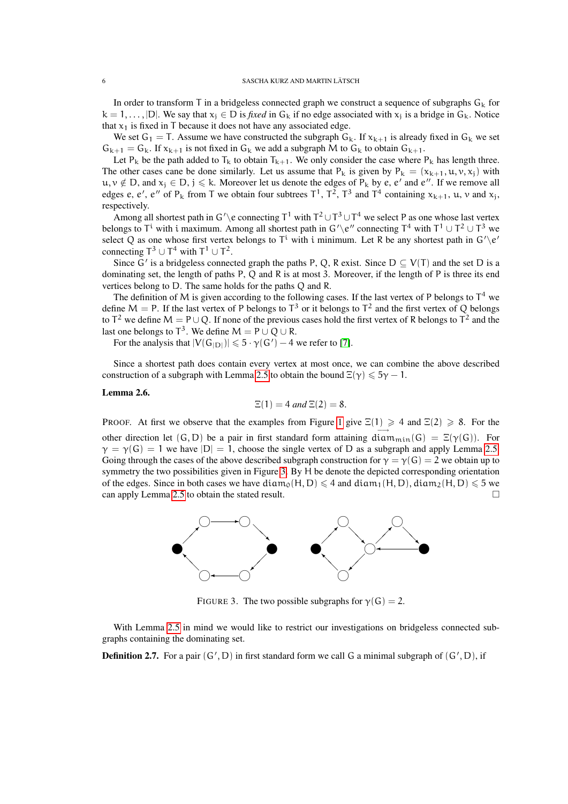In order to transform T in a bridgeless connected graph we construct a sequence of subgraphs  $G_k$  for  $k = 1, \ldots, |D|$ . We say that  $x_i \in D$  is *fixed* in  $G_k$  if no edge associated with  $x_i$  is a bridge in  $G_k$ . Notice that  $x_1$  is fixed in T because it does not have any associated edge.

We set  $G_1 = T$ . Assume we have constructed the subgraph  $G_k$ . If  $x_{k+1}$  is already fixed in  $G_k$  we set  $G_{k+1} = G_k$ . If  $x_{k+1}$  is not fixed in  $G_k$  we add a subgraph M to  $G_k$  to obtain  $G_{k+1}$ .

Let P<sub>k</sub> be the path added to T<sub>k</sub> to obtain T<sub>k+1</sub>. We only consider the case where P<sub>k</sub> has length three. The other cases cane be done similarly. Let us assume that  $P_k$  is given by  $P_k = (x_{k+1}, u, v, x_j)$  with  $u, v \notin D$ , and  $x_j \in D$ ,  $j \le k$ . Moreover let us denote the edges of  $P_k$  by e, e' and e''. If we remove all edges e, e', e'' of P<sub>k</sub> from T we obtain four subtrees  $T^1$ ,  $T^2$ ,  $T^3$  and  $T^4$  containing  $x_{k+1}$ ,  $u$ ,  $v$  and  $x_j$ , respectively.

Among all shortest path in G'\e connecting  $T^1$  with  $T^2 \cup T^3 \cup T^4$  we select P as one whose last vertex belongs to T<sup>i</sup> with i maximum. Among all shortest path in  $G' \backslash e''$  connecting T<sup>4</sup> with T<sup>1</sup> ∪ T<sup>2</sup> ∪ T<sup>3</sup> we select Q as one whose first vertex belongs to  $T^i$  with i minimum. Let R be any shortest path in  $G' \backslash e'$ connecting  $T^3 \cup T^4$  with  $T^1 \cup T^2$ .

Since G' is a bridgeless connected graph the paths P, Q, R exist. Since  $D \subseteq V(T)$  and the set D is a dominating set, the length of paths P, Q and R is at most 3. Moreover, if the length of P is three its end vertices belong to D. The same holds for the paths Q and R.

The definition of M is given according to the following cases. If the last vertex of P belongs to  $T^4$  we define M = P. If the last vertex of P belongs to  $T^3$  or it belongs to  $T^2$  and the first vertex of Q belongs to  $T^2$  we define  $M = P \cup Q$ . If none of the previous cases hold the first vertex of R belongs to  $T^2$  and the last one belongs to  $T^3$ . We define  $M = P \cup Q \cup R$ .

For the analysis that  $|V(G_{|D|})| \leq 5 \cdot \gamma(G') - 4$  we refer to [\[7\]](#page-20-0).

Since a shortest path does contain every vertex at most once, we can combine the above described construction of a subgraph with Lemma [2.5](#page-4-1) to obtain the bound  $\Xi(\gamma) \leq 5\gamma - 1$ .

## <span id="page-5-2"></span>Lemma 2.6.

$$
\Xi(1) = 4
$$
 and 
$$
\Xi(2) = 8.
$$

PROOF. At first we observe that the examples from Figure [1](#page-1-0) give  $\Xi(1) \geq 4$  and  $\Xi(2) \geq 8$ . For the other direction let  $(G, D)$  be a pair in first standard form attaining diam<sub>min</sub>(G) = Ξ(γ(G)). For  $\gamma = \gamma(G) = 1$  we have  $|D| = 1$ , choose the single vertex of D as a subgraph and apply Lemma [2.5.](#page-4-1) Going through the cases of the above described subgraph construction for  $\gamma = \gamma(G) = 2$  we obtain up to symmetry the two possibilities given in Figure [3.](#page-5-0) By H be denote the depicted corresponding orientation of the edges. Since in both cases we have  $\text{diam}_{0}(H, D) \leq 4$  and  $\text{diam}_{1}(H, D)$ ,  $\text{diam}_{2}(H, D) \leq 5$  we can apply Lemma [2.5](#page-4-1) to obtain the stated result.  $\Box$ 



<span id="page-5-0"></span>FIGURE 3. The two possible subgraphs for  $\gamma(G) = 2$ .

With Lemma [2.5](#page-4-1) in mind we would like to restrict our investigations on bridgeless connected subgraphs containing the dominating set.

<span id="page-5-1"></span>**Definition 2.7.** For a pair  $(G', D)$  in first standard form we call G a minimal subgraph of  $(G', D)$ , if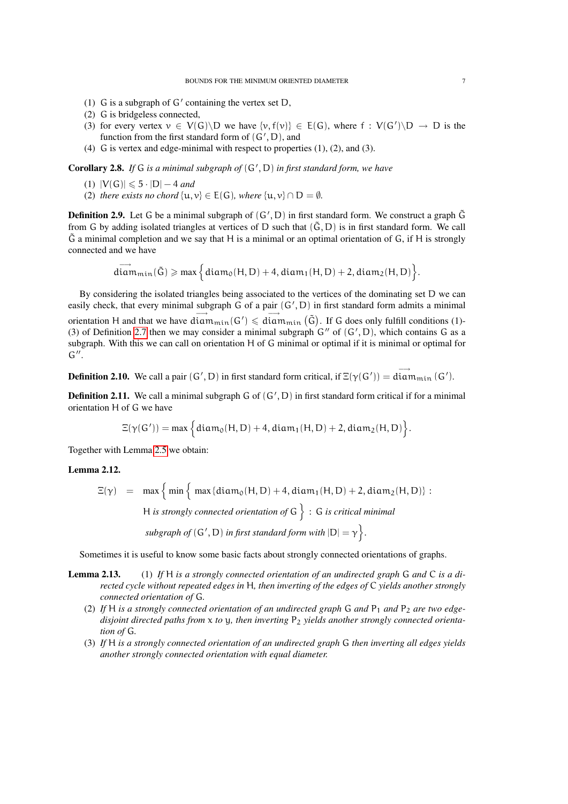- (1) G is a subgraph of  $G'$  containing the vertex set D,
- (2) G is bridgeless connected,
- (3) for every vertex  $v \in V(G) \backslash D$  we have  $\{v, f(v)\} \in E(G)$ , where  $f : V(G') \backslash D \rightarrow D$  is the function from the first standard form of  $(G', D)$ , and
- (4) G is vertex and edge-minimal with respect to properties (1), (2), and (3).

Corollary 2.8. If G is a minimal subgraph of  $(G', D)$  in first standard form, we have

- (1)  $|V(G)| \le 5 \cdot |D| 4$  *and*
- (2) *there exists no chord*  $\{u, v\} \in E(G)$ *, where*  $\{u, v\} \cap D = \emptyset$ *.*

**Definition 2.9.** Let G be a minimal subgraph of  $(G', D)$  in first standard form. We construct a graph  $\tilde{G}$ from G by adding isolated triangles at vertices of D such that  $(\tilde{G}, D)$  is in first standard form. We call  $\tilde{G}$  a minimal completion and we say that H is a minimal or an optimal orientation of  $G$ , if H is strongly connected and we have

$$
\overrightarrow{diam}_{min}(\tilde{G})\geqslant max\Big\{diam_{0}(H,D)+4,diam_{1}(H,D)+2,diam_{2}(H,D)\Big\}.
$$

By considering the isolated triangles being associated to the vertices of the dominating set D we can easily check, that every minimal subgraph G of a pair  $(G', D)$  in first standard form admits a minimal orientation H and that we have  $\dim_{\text{min}}(G') \leq \dim_{\text{min}}(\tilde{G})$ . If G does only fulfill conditions (1)-(3) of Definition [2.7](#page-5-1) then we may consider a minimal subgraph  $G''$  of  $(G', D)$ , which contains G as a subgraph. With this we can call on orientation H of G minimal or optimal if it is minimal or optimal for  $G^{\prime\prime}$ .

**Definition 2.10.** We call a pair  $(G', D)$  in first standard form critical, if  $\Xi(\gamma(G')) = \overrightarrow{\text{diam}_{min}}(G')$ .

**Definition 2.11.** We call a minimal subgraph  $G$  of  $(G', D)$  in first standard form critical if for a minimal orientation H of G we have

$$
\Xi(\gamma(G'))=\text{max}\Big\{diam_0(H,D)+4,diam_1(H,D)+2,diam_2(H,D)\Big\}.
$$

Together with Lemma [2.5](#page-4-1) we obtain:

# Lemma 2.12.

 $\Xi(\gamma)$  = max  $\left\{ \min \left\{ \max \{ \text{diam}_0(H, D) + 4, \text{diam}_1(H, D) + 2, \text{diam}_2(H, D) \right\} \right\}$ H *is strongly connected orientation of* G : G *is critical minimal*  $\mathit{subgraph\ of}$   $(G', D)$  *in first standard form with*  $|D| = \gamma$   $\}$ .

Sometimes it is useful to know some basic facts about strongly connected orientations of graphs.

- Lemma 2.13. (1) *If* H *is a strongly connected orientation of an undirected graph* G *and* C *is a directed cycle without repeated edges in* H*, then inverting of the edges of* C *yields another strongly connected orientation of* G*.*
	- (2) If H is a strongly connected orientation of an undirected graph  $G$  and  $P_1$  and  $P_2$  are two edgedisjoint directed paths from x to y, then inverting P<sub>2</sub> yields another strongly connected orienta*tion of* G*.*
	- (3) *If* H *is a strongly connected orientation of an undirected graph* G *then inverting all edges yields another strongly connected orientation with equal diameter.*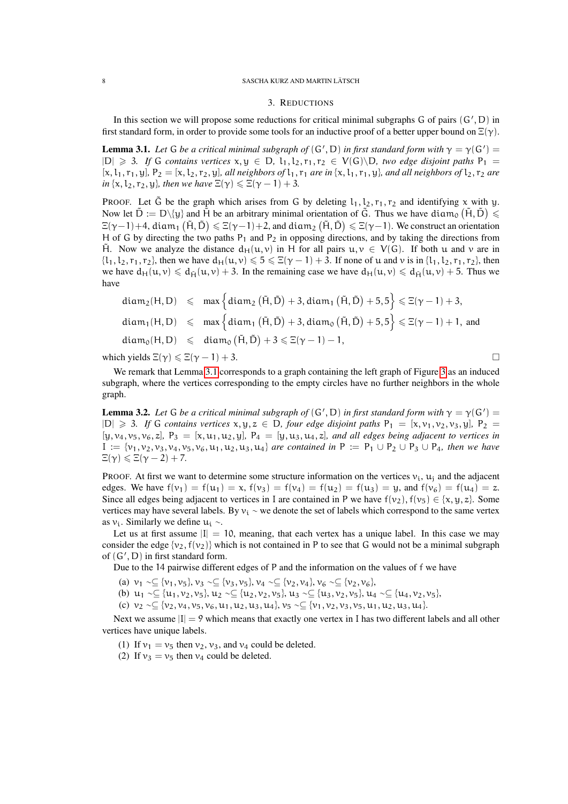#### 8 SASCHA KURZ AND MARTIN LÄTSCH

## 3. REDUCTIONS

<span id="page-7-2"></span>In this section we will propose some reductions for critical minimal subgraphs  $G$  of pairs  $(G', D)$  in first standard form, in order to provide some tools for an inductive proof of a better upper bound on  $\Xi(\gamma)$ .

<span id="page-7-0"></span>**Lemma 3.1.** Let G be a critical minimal subgraph of  $(G', D)$  in first standard form with  $\gamma = \gamma(G') =$  $|D|$  ≥ 3*. If* G *contains vertices*  $x, y$  ∈ D,  $l_1, l_2, r_1, r_2$  ∈  $V(G) \ D$ *, two edge disjoint paths*  $P_1$  =  $[x, l_1, r_1, y]$ ,  $P_2 = [x, l_2, r_2, y]$ , all neighbors of  $l_1, r_1$  are in  $\{x, l_1, r_1, y\}$ , and all neighbors of  $l_2, r_2$  are *in*  $\{x, l_2, r_2, y\}$ *, then we have*  $\Xi(\gamma) \leq \Xi(\gamma - 1) + 3$ *.* 

PROOF. Let  $\tilde{G}$  be the graph which arises from G by deleting  $l_1, l_2, r_1, r_2$  and identifying x with y. Now let  $\tilde{D} := D \setminus \{y\}$  and  $\tilde{H}$  be an arbitrary minimal orientation of  $\tilde{G}$ . Thus we have diam<sub>0</sub>  $(\tilde{H}, \tilde{D}) \le$  $\Xi(\gamma-1)+4$ , diam<sub>1</sub>  $(\tilde{H},\tilde{D})\leqslant \Xi(\gamma-1)+2$ , and diam<sub>2</sub>  $(\tilde{H},\tilde{D})\leqslant \Xi(\gamma-1)$ . We construct an orientation H of G by directing the two paths  $P_1$  and  $P_2$  in opposing directions, and by taking the directions from H . Now we analyze the distance  $d_H(u, v)$  in H for all pairs  $u, v \in V(G)$ . If both u and v are in  $\{l_1, l_2, r_1, r_2\}$ , then we have  $d_H(u, v) \leq 5 \leq \Xi(\gamma - 1) + 3$ . If none of u and v is in  $\{l_1, l_2, r_1, r_2\}$ , then we have  $d_H(u, v) \leq d_H(u, v) + 3$ . In the remaining case we have  $d_H(u, v) \leq d_H(u, v) + 5$ . Thus we have

$$
diam_2(H, D) \leqslant max \left\{ diam_2(\tilde{H}, \tilde{D}) + 3, diam_1(\tilde{H}, \tilde{D}) + 5, 5 \right\} \leqslant \Xi(\gamma - 1) + 3,
$$
  
\n
$$
diam_1(H, D) \leqslant max \left\{ diam_1(\tilde{H}, \tilde{D}) + 3, diam_0(\tilde{H}, \tilde{D}) + 5, 5 \right\} \leqslant \Xi(\gamma - 1) + 1, and
$$
  
\n
$$
diam_0(H, D) \leqslant diam_0(\tilde{H}, \tilde{D}) + 3 \leqslant \Xi(\gamma - 1) - 1,
$$

which yields  $\Xi(\gamma) \leq \Xi(\gamma - 1) + 3$ .

We remark that Lemma [3.1](#page-7-0) corresponds to a graph containing the left graph of Figure [3](#page-5-0) as an induced subgraph, where the vertices corresponding to the empty circles have no further neighbors in the whole graph.

<span id="page-7-1"></span>**Lemma 3.2.** Let G be a critical minimal subgraph of  $(G', D)$  in first standard form with  $\gamma = \gamma(G') =$  $|D|$  ≥ 3*. If* G *contains vertices* x, y, z ∈ D, *four edge disjoint paths*  $P_1 = [x, v_1, v_2, v_3, y]$ ,  $P_2$  =  $[y, v_4, v_5, v_6, z]$ ,  $P_3 = [x, u_1, u_2, y]$ ,  $P_4 = [y, u_3, u_4, z]$ , and all edges being adjacent to vertices in  $I := \{v_1, v_2, v_3, v_4, v_5, v_6, u_1, u_2, u_3, u_4\}$  *are contained in*  $P := P_1 \cup P_2 \cup P_3 \cup P_4$ *, then we have*  $\Xi(\gamma) \leqslant \Xi(\gamma - 2) + 7.$ 

PROOF. At first we want to determine some structure information on the vertices  $v_i$ ,  $u_i$  and the adjacent edges. We have  $f(v_1) = f(u_1) = x$ ,  $f(v_3) = f(v_4) = f(u_2) = f(u_3) = y$ , and  $f(v_6) = f(u_4) = z$ . Since all edges being adjacent to vertices in I are contained in P we have  $f(v_2)$ ,  $f(v_5) \in \{x, y, z\}$ . Some vertices may have several labels. By  $v_i \sim$  we denote the set of labels which correspond to the same vertex as  $v_i$ . Similarly we define  $u_i \sim$ .

Let us at first assume  $|I| = 10$ , meaning, that each vertex has a unique label. In this case we may consider the edge  $\{v_2, f(v_2)\}\$  which is not contained in P to see that G would not be a minimal subgraph of  $(G', D)$  in first standard form.

Due to the 14 pairwise different edges of P and the information on the values of f we have

- (a)  $v_1 \sim \subseteq \{v_1, v_5\}, v_3 \sim \subseteq \{v_3, v_5\}, v_4 \sim \subseteq \{v_2, v_4\}, v_6 \sim \subseteq \{v_2, v_6\},$
- (b)  $u_1 \sim \subseteq \{u_1, v_2, v_5\}, u_2 \sim \subseteq \{u_2, v_2, v_5\}, u_3 \sim \subseteq \{u_3, v_2, v_5\}, u_4 \sim \subseteq \{u_4, v_2, v_5\},\$
- (c)  $v_2 \sim \subseteq \{v_2, v_4, v_5, v_6, u_1, u_2, u_3, u_4\}, v_5 \sim \subseteq \{v_1, v_2, v_3, v_5, u_1, u_2, u_3, u_4\}.$

Next we assume  $|I| = 9$  which means that exactly one vertex in I has two different labels and all other vertices have unique labels.

- (1) If  $v_1 = v_5$  then  $v_2$ ,  $v_3$ , and  $v_4$  could be deleted.
- (2) If  $v_3 = v_5$  then  $v_4$  could be deleted.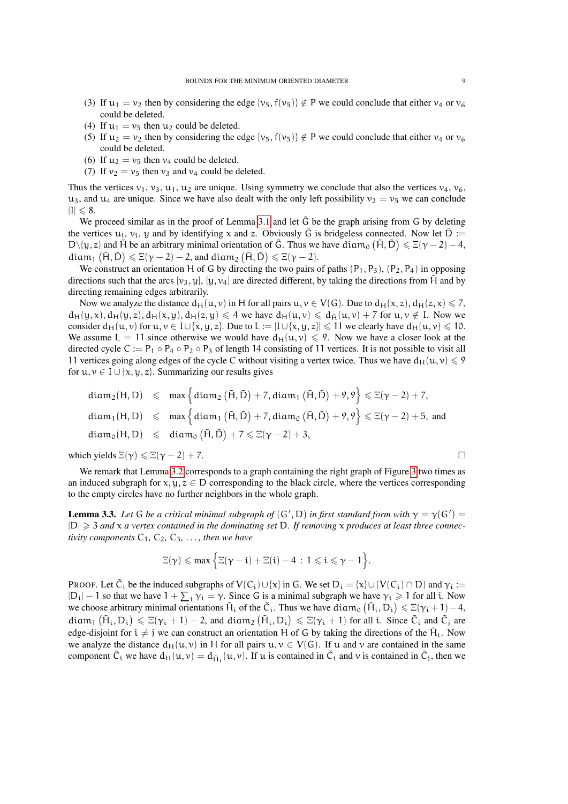- (3) If  $u_1 = v_2$  then by considering the edge  $\{v_5, f(v_5)\}\notin P$  we could conclude that either  $v_4$  or  $v_6$ could be deleted.
- (4) If  $u_1 = v_5$  then  $u_2$  could be deleted.
- (5) If  $u_2 = v_2$  then by considering the edge  $\{v_5, f(v_5)\}\notin P$  we could conclude that either  $v_4$  or  $v_6$ could be deleted.
- (6) If  $u_2 = v_5$  then  $v_4$  could be deleted.
- (7) If  $v_2 = v_5$  then  $v_3$  and  $v_4$  could be deleted.

Thus the vertices  $v_1$ ,  $v_3$ ,  $u_1$ ,  $u_2$  are unique. Using symmetry we conclude that also the vertices  $v_4$ ,  $v_6$ ,  $u_3$ , and  $u_4$  are unique. Since we have also dealt with the only left possibility  $v_2 = v_5$  we can conclude  $|I| \leq 8.$ 

We proceed similar as in the proof of Lemma [3.1](#page-7-0) and let  $\tilde{G}$  be the graph arising from G by deleting the vertices  $u_i$ ,  $v_i$ , y and by identifying x and z. Obviously  $\tilde{G}$  is bridgeless connected. Now let  $\tilde{D}$  := D\{y, z} and H be an arbitrary minimal orientation of  $\tilde{G}$ . Thus we have diam<sub>0</sub>  $(\tilde{H}, \tilde{D}) \leq \Xi(\gamma - 2) - 4$ ,  $\text{diam}_1 \left( \tilde{H}, \tilde{D} \right) \leqslant \Xi(\gamma-2)-2$ , and  $\text{diam}_2 \left( \tilde{H}, \tilde{D} \right) \leqslant \Xi(\gamma-2).$ 

We construct an orientation H of G by directing the two pairs of paths  $(P_1, P_3)$ ,  $(P_2, P_4)$  in opposing directions such that the arcs [v<sub>3</sub>, y], [y, v<sub>4</sub>] are directed different, by taking the directions from H and by directing remaining edges arbitrarily.

Now we analyze the distance  $d_H(u, v)$  in H for all pairs  $u, v \in V(G)$ . Due to  $d_H(x, z)$ ,  $d_H(z, x) \le 7$ ,  $d_H(y, x)$ ,  $d_H(y, z)$ ,  $d_H(x, y)$ ,  $d_H(z, y) \le 4$  we have  $d_H(u, v) \le d_H(u, v) + 7$  for  $u, v \notin I$ . Now we consider  $d_H(u, v)$  for  $u, v \in I \cup \{x, y, z\}$ . Due to  $L := |I \cup \{x, y, z\}| \leq 11$  we clearly have  $d_H(u, v) \leq 10$ . We assume  $L = 11$  since otherwise we would have  $d_H(u, v) \le 9$ . Now we have a closer look at the directed cycle C :=  $P_1 \circ P_4 \circ P_2 \circ P_3$  of length 14 consisting of 11 vertices. It is not possible to visit all 11 vertices going along edges of the cycle C without visiting a vertex twice. Thus we have  $d_H(u, v) \leq 9$ for  $u, v \in I \cup \{x, y, z\}$ . Summarizing our results gives

$$
\begin{array}{lcl} \text{diam}_{2}(H,D) & \leqslant & \text{max}\left\{\text{diam}_{2}\left(\tilde{H},\tilde{D}\right)+7,\text{diam}_{1}\left(\tilde{H},\tilde{D}\right)+9,9\right\} \leqslant \Xi(\gamma-2)+7, \\[2mm] \text{diam}_{1}(H,D) & \leqslant & \text{max}\left\{\text{diam}_{1}\left(\tilde{H},\tilde{D}\right)+7,\text{diam}_{0}\left(\tilde{H},\tilde{D}\right)+9,9\right\} \leqslant \Xi(\gamma-2)+5, \text{ and} \\[2mm] \text{diam}_{0}(H,D) & \leqslant & \text{diam}_{0}\left(\tilde{H},\tilde{D}\right)+7 \leqslant \Xi(\gamma-2)+3, \end{array}
$$

which yields  $\Xi(\gamma) \leq \Xi(\gamma - 2) + 7$ .

We remark that Lemma [3.2](#page-7-1) corresponds to a graph containing the right graph of Figure [3](#page-5-0) two times as an induced subgraph for  $x, y, z \in D$  corresponding to the black circle, where the vertices corresponding to the empty circles have no further neighbors in the whole graph.

<span id="page-8-0"></span>**Lemma 3.3.** Let G be a critical minimal subgraph of  $(G', D)$  in first standard form with  $\gamma = \gamma(G') =$ |D| > 3 *and* x *a vertex contained in the dominating set* D*. If removing* x *produces at least three connectivity components*  $C_1$ *,*  $C_2$ *,*  $C_3$ *, ..., then we have* 

$$
\Xi(\gamma) \leqslant \text{max} \, \Big\{ \Xi(\gamma - i) + \Xi(i) - 4 \, : \, 1 \leqslant i \leqslant \gamma - 1 \Big\}.
$$

PROOF. Let  $\tilde{C}_i$  be the induced subgraphs of  $V(C_i) \cup \{x\}$  in G. We set  $D_i = \{x\} \cup (V(C_i) \cap D)$  and  $\gamma_i :=$  $|D_i| - 1$  so that we have  $1 + \sum_i \gamma_i = \gamma$ . Since G is a minimal subgraph we have  $\gamma_i \ge 1$  for all i. Now we choose arbitrary minimal orientations  $\tilde{H}_i$  of the  $\tilde{C}_i$ . Thus we have diam<sub>0</sub>  $(\tilde{H}_i, D_i) \leq \Xi(\gamma_i + 1) - 4$ , diam<sub>1</sub>  $(\tilde{H}_i, D_i) \leq \Xi(\gamma_i + 1) - 2$ , and diam<sub>2</sub>  $(\tilde{H}_i, D_i) \leq \Xi(\gamma_i + 1)$  for all i. Since  $\tilde{C}_i$  and  $\tilde{C}_j$  are edge-disjoint for  $i \neq j$  we can construct an orientation H of G by taking the directions of the  $\tilde{H}_i$ . Now we analyze the distance  $d_H(u, v)$  in H for all pairs  $u, v \in V(G)$ . If u and v are contained in the same component  $\tilde{C}_i$  we have  $d_H(u, v) = d_{\tilde{H}_i}(u, v)$ . If u is contained in  $\tilde{C}_i$  and v is contained in  $\tilde{C}_j$ , then we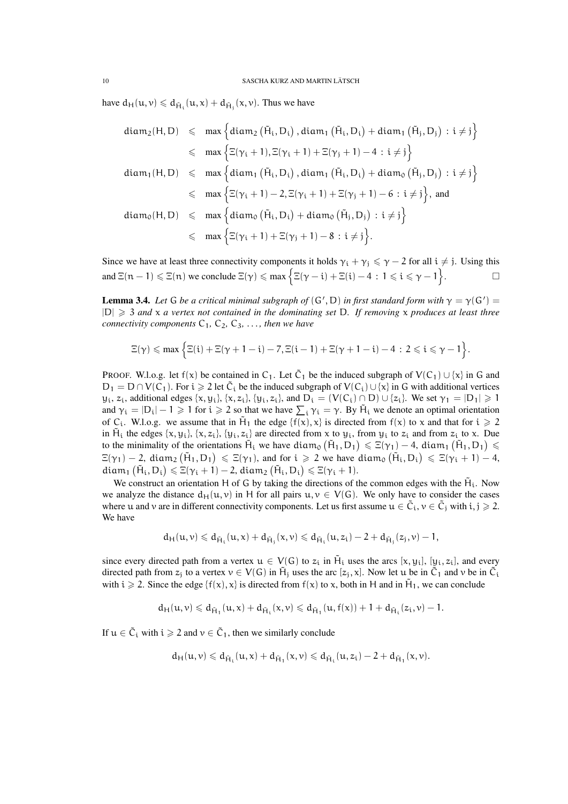have  $d_H(u, v) \le d_{\tilde{H}_1}(u, x) + d_{\tilde{H}_1}(x, v)$ . Thus we have

$$
\begin{array}{lcl} \text{diam}_2(H, D) & \leqslant & \text{max}\left\{\text{diam}_2\left(\tilde{H}_i, D_i\right), \text{diam}_1\left(\tilde{H}_i, D_i\right) + \text{diam}_1\left(\tilde{H}_j, D_j\right) \, : \, i \neq j\right\} \\ \\ & \leqslant & \text{max}\left\{\Xi(\gamma_i+1), \Xi(\gamma_i+1) + \Xi(\gamma_j+1) - 4 \, : \, i \neq j\right\} \\ \\ \text{diam}_1(H, D) & \leqslant & \text{max}\left\{\text{diam}_1\left(\tilde{H}_i, D_i\right), \text{diam}_1\left(\tilde{H}_i, D_i\right) + \text{diam}_0\left(\tilde{H}_j, D_j\right) \, : \, i \neq j\right\} \\ \\ & \leqslant & \text{max}\left\{\Xi(\gamma_i+1)-2, \Xi(\gamma_i+1)+\Xi(\gamma_j+1)-6 \, : \, i \neq j\right\}, \, \text{and} \\ \\ \text{diam}_0(H, D) & \leqslant & \text{max}\left\{\text{diam}_0\left(\tilde{H}_i, D_i\right) + \text{diam}_0\left(\tilde{H}_j, D_j\right) \, : \, i \neq j\right\} \\ \\ & \leqslant & \text{max}\left\{\Xi(\gamma_i+1)+\Xi(\gamma_j+1)-8 \, : \, i \neq j\right\}. \end{array}
$$

Since we have at least three connectivity components it holds  $\gamma_i + \gamma_j \leq \gamma - 2$  for all  $i \neq j$ . Using this and  $\Xi(n-1) \le \Xi(n)$  we conclude  $\Xi(\gamma) \le \max \{ \Xi(\gamma - i) + \Xi(i) - 4 : 1 \le i \le \gamma - 1 \}$  $\Box$ 

<span id="page-9-0"></span>**Lemma 3.4.** Let G be a critical minimal subgraph of  $(G', D)$  in first standard form with  $\gamma = \gamma(G') =$ |D| > 3 *and* x *a vertex not contained in the dominating set* D*. If removing* x *produces at least three connectivity components*  $C_1$ ,  $C_2$ ,  $C_3$ , ..., then we have

$$
\Xi(\gamma) \leqslant \max \Big\{ \Xi(i) + \Xi(\gamma + 1 - i) - 7, \Xi(i-1) + \Xi(\gamma + 1 - i) - 4 \, : \, 2 \leqslant i \leqslant \gamma - 1 \Big\}.
$$

PROOF. W.l.o.g. let  $f(x)$  be contained in  $C_1$ . Let  $\tilde{C}_1$  be the induced subgraph of  $V(C_1) \cup \{x\}$  in G and  $D_1 = D \cap V(C_1)$ . For  $i \ge 2$  let  $\tilde{C}_i$  be the induced subgraph of  $V(C_i) \cup \{x\}$  in G with additional vertices  $y_i$ ,  $z_i$ , additional edges  $\{x, y_i\}$ ,  $\{x, z_i\}$ ,  $\{y_i, z_i\}$ , and  $D_i = (V(C_i) \cap D) \cup \{z_i\}$ . We set  $\gamma_1 = |D_1| \geq 1$ and  $\gamma_i = |D_i| - 1 \ge 1$  for  $i \ge 2$  so that we have  $\sum_i \gamma_i = \gamma$ . By  $\tilde{H}_i$  we denote an optimal orientation of C<sub>i</sub>. W.l.o.g. we assume that in  $H_1$  the edge  $\{f(x), x\}$  is directed from  $f(x)$  to x and that for  $i \ge 2$ in  $\tilde{H}_i$  the edges  $\{x, y_i\}$ ,  $\{x, z_i\}$ ,  $\{y_i, z_i\}$  are directed from x to  $y_i$ , from  $y_i$  to  $z_i$  and from  $z_i$  to x. Due to the minimality of the orientations  $\tilde{H}_i$  we have  $diam_0(\tilde{H}_1, D_1) \leq \Xi(\gamma_1) - 4$ ,  $diam_1(\tilde{H}_1, D_1) \leq$  $\Xi(\gamma_1) - 2$ , diam<sub>2</sub>  $(\tilde{H}_1, D_1) \leq \Xi(\gamma_1)$ , and for  $i \geq 2$  we have diam<sub>0</sub>  $(\tilde{H}_i, D_i) \leq \Xi(\gamma_i + 1) - 4$ ,  $\text{diam}_1 (\tilde{H}_i, D_i) \leqslant \Xi(\gamma_i + 1) - 2$ ,  $\text{diam}_2 (\tilde{H}_i, D_i) \leqslant \Xi(\gamma_i + 1)$ .

We construct an orientation H of G by taking the directions of the common edges with the  $\tilde{H}_i$ . Now we analyze the distance  $d_H(u, v)$  in H for all pairs  $u, v \in V(G)$ . We only have to consider the cases where u and v are in different connectivity components. Let us first assume  $u \in \tilde{C}_i$ ,  $v \in \tilde{C}_j$  with  $i, j \geq 2$ . We have

$$
d_H(u,v)\leqslant d_{\tilde{H}_i}(u,x)+d_{\tilde{H}_j}(x,v)\leqslant d_{\tilde{H}_i}(u,z_i)-2+d_{\tilde{H}_j}(z_j,\nu)-1,
$$

since every directed path from a vertex  $u \in V(G)$  to  $z_i$  in  $\tilde{H}_i$  uses the arcs  $[x, y_i]$ ,  $[y_i, z_i]$ , and every directed path from  $z_j$  to a vertex  $v \in V(G)$  in  $\tilde{H}_j$  uses the arc  $[z_j, x]$ . Now let u be in  $\tilde{C}_1$  and v be in  $\tilde{C}_i$ with  $i \ge 2$ . Since the edge  $\{f(x), x\}$  is directed from  $f(x)$  to x, both in H and in  $\tilde{H}_1$ , we can conclude

$$
d_H(u,v)\leqslant d_{\tilde{H}_1}(u,x)+d_{\tilde{H}_1}(x,v)\leqslant d_{\tilde{H}_1}(u,f(x))+1+d_{\tilde{H}_1}(z_i,\nu)-1.
$$

If  $u \in \tilde{C}_i$  with  $i \geqslant 2$  and  $v \in \tilde{C}_1$ , then we similarly conclude

$$
d_H(u,v)\leqslant d_{\tilde{H}_\mathfrak{i}}(u,x)+d_{\tilde{H}_1}(x,v)\leqslant d_{\tilde{H}_\mathfrak{i}}(u,z_\mathfrak{i})-2+d_{\tilde{H}_1}(x,v).
$$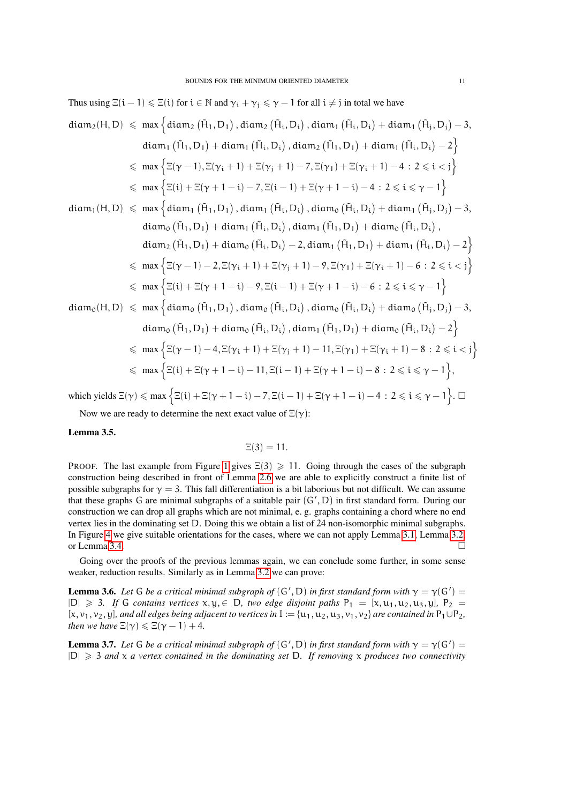Thus using 
$$
\Xi(i-1) \leq \Xi(i)
$$
 for  $i \in \mathbb{N}$  and  $\gamma_i + \gamma_j \leq \gamma - 1$  for all  $i \neq j$  in total we have  
\n
$$
diam_2(H, D) \leqslant max \left\{ diam_2(\tilde{H}_1, D_1), diam_2(\tilde{H}_i, D_i), diam_1(\tilde{H}_i, D_i) + diam_1(\tilde{H}_j, D_j) - 3, diam_1(\tilde{H}_1, D_1) + diam_1(\tilde{H}_i, D_i), diam_2(\tilde{H}_1, D_1) + diam_1(\tilde{H}_i, D_i) - 2 \right\}
$$
\n
$$
\leqslant max \left\{ \Xi(\gamma - 1), \Xi(\gamma_i + 1) + \Xi(\gamma_j + 1) - 7, \Xi(\gamma_1) + \Xi(\gamma_i + 1) - 4 : 2 \leqslant i \leqslant \gamma \right\}
$$
\n
$$
\leqslant max \left\{ \Xi(i) + \Xi(\gamma + 1 - i) - 7, \Xi(i - 1) + \Xi(\gamma + 1 - i) - 4 : 2 \leqslant i \leqslant \gamma - 1 \right\}
$$
\n
$$
diam_1(H, D) \leqslant max \left\{ diam_1(\tilde{H}_1, D_1), diam_1(\tilde{H}_i, D_i), diam_0(\tilde{H}_i, D_i) + diam_1(\tilde{H}_i, D_i) \right\}
$$
\n
$$
diam_2(\tilde{H}_1, D_1) + diam_2(\tilde{H}_i, D_i) - 2, diam_1(\tilde{H}_1, D_1) + diam_2(\tilde{H}_i, D_i) - 2 \right\}
$$
\n
$$
\leqslant max \left\{ \Xi(\gamma - 1) - 2, \Xi(\gamma_i + 1) + \Xi(\gamma_i + 1) - 9, \Xi(\gamma_1) + \Xi(\gamma_i + 1) - 6 : 2 \leqslant i \leqslant \gamma \right\}
$$
\n
$$
\leqslant max \left\{ \Xi(i) + \Xi(\gamma + 1 - i) - 9, \Xi(i - 1) + \Xi(\gamma + 1 - i) - 6 : 2 \leqslant \gamma - 1 \right\}
$$
\n
$$
diam_0(H, D) \leqslant max \left\{ diam_0(\
$$

Now we are ready to determine the next exact value of  $\Xi(\gamma)$ :

### <span id="page-10-0"></span>Lemma 3.5.

$$
\Xi(3)=11.
$$

PROOF. The last example from Figure [1](#page-1-0) gives  $\Xi(3) \geq 11$ . Going through the cases of the subgraph construction being described in front of Lemma [2.6](#page-5-2) we are able to explicitly construct a finite list of possible subgraphs for  $\gamma = 3$ . This fall differentiation is a bit laborious but not difficult. We can assume that these graphs G are minimal subgraphs of a suitable pair  $(G', D)$  in first standard form. During our construction we can drop all graphs which are not minimal, e. g. graphs containing a chord where no end vertex lies in the dominating set D. Doing this we obtain a list of 24 non-isomorphic minimal subgraphs. In Figure [4](#page-11-0) we give suitable orientations for the cases, where we can not apply Lemma [3.1,](#page-7-0) Lemma [3.2,](#page-7-1) or Lemma [3.4.](#page-9-0)

Going over the proofs of the previous lemmas again, we can conclude some further, in some sense weaker, reduction results. Similarly as in Lemma [3.2](#page-7-1) we can prove:

<span id="page-10-1"></span>**Lemma 3.6.** Let G be a critical minimal subgraph of  $(G', D)$  in first standard form with  $\gamma = \gamma(G') =$  $|D| \ge 3$ *. If* G *contains vertices*  $x, y, \in D$ *, two edge disjoint paths*  $P_1 = [x, u_1, u_2, u_3, y]$ ,  $P_2 =$  $[x, v_1, v_2, y]$ *, and all edges being adjacent to vertices in*  $I := {u_1, u_2, u_3, v_1, v_2}$  *are contained in*  $P_1 \cup P_2$ *, then we have*  $\Xi(\gamma) \leq \Xi(\gamma - 1) + 4$ .

<span id="page-10-2"></span>**Lemma 3.7.** Let G be a critical minimal subgraph of  $(G', D)$  in first standard form with  $\gamma = \gamma(G') =$  $|D| \geq 3$  *and* x *a vertex contained in the dominating set* D. If *removing* x *produces two connectivity*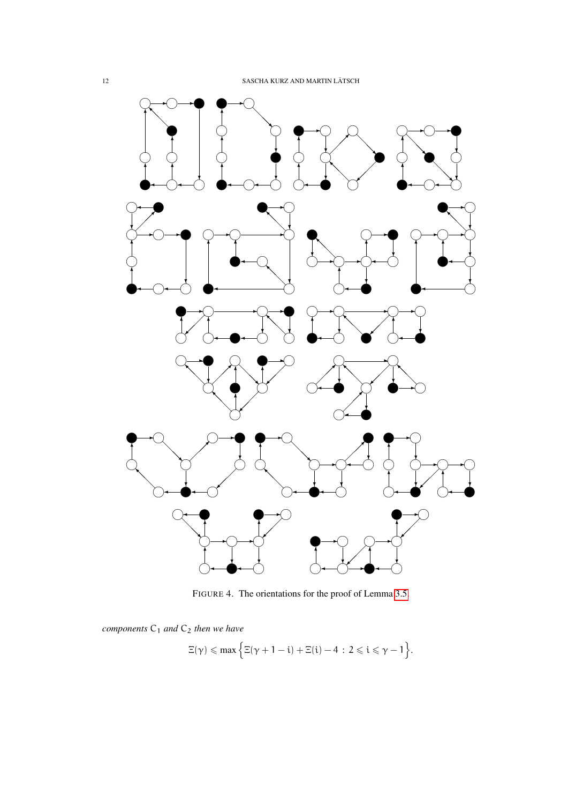

<span id="page-11-0"></span>FIGURE 4. The orientations for the proof of Lemma [3.5.](#page-10-0)

*components*  $C_1$  *and*  $C_2$  *then we have* 

$$
\Xi(\gamma) \leqslant \text{max} \, \Big\{ \Xi(\gamma+1-i) + \Xi(i) - 4 \, : \, 2 \leqslant i \leqslant \gamma - 1 \Big\}.
$$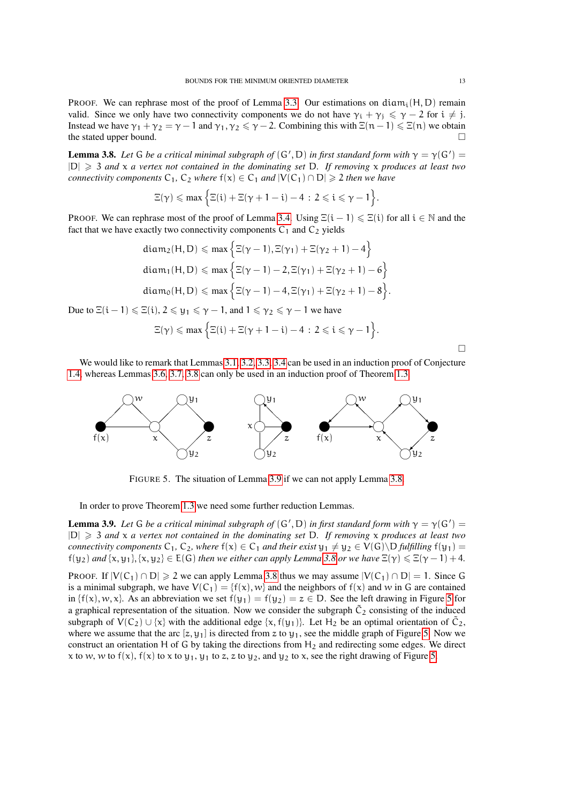PROOF. We can rephrase most of the proof of Lemma [3.3.](#page-8-0) Our estimations on diam<sub>i</sub>(H, D) remain valid. Since we only have two connectivity components we do not have  $\gamma_i + \gamma_j \leq \gamma - 2$  for  $i \neq j$ . Instead we have  $\gamma_1 + \gamma_2 = \gamma - 1$  and  $\gamma_1, \gamma_2 \le \gamma - 2$ . Combining this with  $\Xi(n-1) \le \Xi(n)$  we obtain the stated upper bound.

<span id="page-12-0"></span>**Lemma 3.8.** Let G be a critical minimal subgraph of  $(G', D)$  in first standard form with  $\gamma = \gamma(G') =$ |D| > 3 *and* x *a vertex not contained in the dominating set* D*. If removing* x *produces at least two connectivity components*  $C_1$ ,  $C_2$  *where*  $f(x) \in C_1$  *and*  $|V(C_1) \cap D| \ge 2$  *then we have* 

$$
\Xi(\gamma) \leqslant \text{max} \left\{ \Xi(i) + \Xi(\gamma + 1 - i) - 4 \, : \, 2 \leqslant i \leqslant \gamma - 1 \right\}.
$$

PROOF. We can rephrase most of the proof of Lemma [3.4.](#page-9-0) Using  $\Xi(i-1) \leq \Xi(i)$  for all  $i \in \mathbb{N}$  and the fact that we have exactly two connectivity components  $C_1$  and  $C_2$  yields

$$
\begin{aligned} &\text{diam}_2(H, D) \leqslant \text{max}\left\{\Xi(\gamma-1), \Xi(\gamma_1) + \Xi(\gamma_2+1)-4\right\} \\ &\text{diam}_1(H, D) \leqslant \text{max}\left\{\Xi(\gamma-1)-2, \Xi(\gamma_1) + \Xi(\gamma_2+1)-6\right\} \\ &\text{diam}_0(H, D) \leqslant \text{max}\left\{\Xi(\gamma-1)-4, \Xi(\gamma_1) + \Xi(\gamma_2+1)-8\right\} . \end{aligned}
$$

Due to  $\Xi(i-1) \le \Xi(i)$ ,  $2 \le y_1 \le \gamma - 1$ , and  $1 \le \gamma_2 \le \gamma - 1$  we have

$$
\Xi(\gamma) \leqslant \max \Big\{ \Xi(i) + \Xi(\gamma + 1 - i) - 4 \, : \, 2 \leqslant i \leqslant \gamma - 1 \Big\}.
$$

$$
\Box
$$

We would like to remark that Lemmas [3.1,](#page-7-0) [3.2,](#page-7-1) [3.3,](#page-8-0) [3.4](#page-9-0) can be used in an induction proof of Conjecture [1.4,](#page-0-2) whereas Lemmas [3.6,](#page-10-1) [3.7,](#page-10-2) [3.8](#page-12-0) can only be used in an induction proof of Theorem [1.3.](#page-0-1)



<span id="page-12-2"></span>FIGURE 5. The situation of Lemma [3.9](#page-12-1) if we can not apply Lemma [3.8.](#page-12-0)

In order to prove Theorem [1.3](#page-0-1) we need some further reduction Lemmas.

<span id="page-12-1"></span>**Lemma 3.9.** Let G be a critical minimal subgraph of  $(G', D)$  in first standard form with  $\gamma = \gamma(G') =$ |D| > 3 *and* x *a vertex not contained in the dominating set* D*. If removing* x *produces at least two connectivity components*  $C_1$ ,  $C_2$ *, where*  $f(x) \in C_1$  *and their exist*  $y_1 \neq y_2 \in V(G) \setminus D$  *fulfilling*  $f(y_1) =$  $f(y_2)$  *and*  $\{x, y_1\}, \{x, y_2\} \in E(G)$  *then we either can apply Lemma [3.8](#page-12-0) or we have*  $\Xi(\gamma) \leq \Xi(\gamma - 1) + 4$ *.* 

PROOF. If  $|V(C_1) \cap D| \ge 2$  we can apply Lemma [3.8](#page-12-0) thus we may assume  $|V(C_1) \cap D| = 1$ . Since G is a minimal subgraph, we have  $V(C_1) = {f(x), w}$  and the neighbors of  $f(x)$  and w in G are contained in  $\{f(x), w, x\}$ . As an abbreviation we set  $f(y_1) = f(y_2) = z \in D$ . See the left drawing in Figure [5](#page-12-2) for a graphical representation of the situation. Now we consider the subgraph  $\tilde{C}_2$  consisting of the induced subgraph of  $V(C_2) \cup \{x\}$  with the additional edge  $\{x, f(y_1)\}\)$ . Let  $H_2$  be an optimal orientation of  $\tilde{C}_2$ , where we assume that the arc  $[z, y_1]$  is directed from z to  $y_1$ , see the middle graph of Figure [5.](#page-12-2) Now we construct an orientation H of G by taking the directions from  $H_2$  and redirecting some edges. We direct x to w, w to  $f(x)$ ,  $f(x)$  to x to  $y_1$ ,  $y_1$  to z, z to  $y_2$ , and  $y_2$  to x, see the right drawing of Figure [5.](#page-12-2)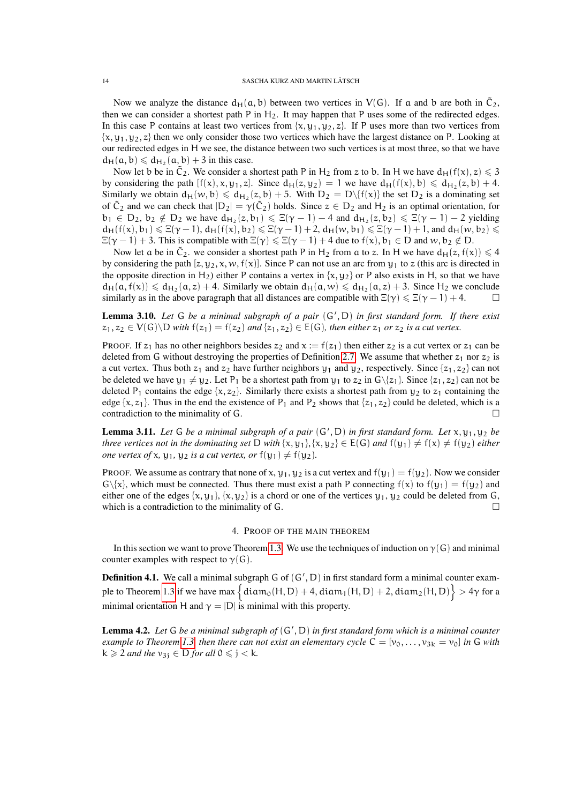Now we analyze the distance  $d_H(a, b)$  between two vertices in  $V(G)$ . If a and b are both in  $\tilde{C}_2$ , then we can consider a shortest path P in  $H_2$ . It may happen that P uses some of the redirected edges. In this case P contains at least two vertices from  $\{x, y_1, y_2, z\}$ . If P uses more than two vertices from  $\{x, y_1, y_2, z\}$  then we only consider those two vertices which have the largest distance on P. Looking at our redirected edges in H we see, the distance between two such vertices is at most three, so that we have  $d_H(a, b) \leq d_{H_2}(a, b) + 3$  in this case.

Now let b be in  $\tilde{C}_2$ . We consider a shortest path P in H<sub>2</sub> from z to b. In H we have  $d_H(f(x), z) \leq 3$ by considering the path  $[f(x), x, y_1, z]$ . Since  $d_H(z, y_2) = 1$  we have  $d_H(f(x), b) \le d_{H_2}(z, b) + 4$ . Similarly we obtain  $d_H(w, b) \le d_{H_2}(z, b) + 5$ . With  $D_2 = D\{f(x)\}$  the set  $D_2$  is a dominating set of  $\tilde{C}_2$  and we can check that  $|D_2| = \gamma(\tilde{C}_2)$  holds. Since  $z \in D_2$  and  $H_2$  is an optimal orientation, for  $b_1 \in D_2$ ,  $b_2 \notin D_2$  we have  $d_{H_2}(z, b_1) \leq \Xi(\gamma - 1) - 4$  and  $d_{H_2}(z, b_2) \leq \Xi(\gamma - 1) - 2$  yielding  $d_H(f(x), b_1) \leq \Xi(\gamma - 1), d_H(f(x), b_2) \leq \Xi(\gamma - 1) + 2, d_H(w, b_1) \leq \Xi(\gamma - 1) + 1$ , and  $d_H(w, b_2) \leq$  $\Xi(\gamma - 1) + 3$ . This is compatible with  $\Xi(\gamma) \leq \Xi(\gamma - 1) + 4$  due to  $f(x)$ ,  $b_1 \in D$  and  $w, b_2 \notin D$ .

Now let a be in  $\tilde{C}_2$ , we consider a shortest path P in H<sub>2</sub> from a to z. In H we have  $d_H(z, f(x)) \leq 4$ by considering the path  $[z, y_2, x, w, f(x)]$ . Since P can not use an arc from  $y_1$  to z (this arc is directed in the opposite direction in H<sub>2</sub>) either P contains a vertex in  $\{x, y_2\}$  or P also exists in H, so that we have  $d_H(a, f(x)) \leq d_{H_2}(a, z) + 4$ . Similarly we obtain  $d_H(a, w) \leq d_{H_2}(a, z) + 3$ . Since  $H_2$  we conclude similarly as in the above paragraph that all distances are compatible with  $\Xi(\gamma) \leq \Xi(\gamma - 1) + 4$ .

<span id="page-13-1"></span>Lemma 3.10. Let G be a minimal subgraph of a pair  $(G', D)$  in first standard form. If there exist  $z_1, z_2 \in V(G) \backslash D$  *with*  $f(z_1) = f(z_2)$  *and*  $\{z_1, z_2\} \in E(G)$ *, then either*  $z_1$  *or*  $z_2$  *is a cut vertex.* 

PROOF. If  $z_1$  has no other neighbors besides  $z_2$  and  $x := f(z_1)$  then either  $z_2$  is a cut vertex or  $z_1$  can be deleted from G without destroying the properties of Definition [2.7.](#page-5-1) We assume that whether  $z_1$  nor  $z_2$  is a cut vertex. Thus both  $z_1$  and  $z_2$  have further neighbors  $y_1$  and  $y_2$ , respectively. Since  $\{z_1, z_2\}$  can not be deleted we have  $y_1 \neq y_2$ . Let P<sub>1</sub> be a shortest path from  $y_1$  to  $z_2$  in G $\setminus \{z_1\}$ . Since  $\{z_1, z_2\}$  can not be deleted P<sub>1</sub> contains the edge {x, z<sub>2</sub>}. Similarly there exists a shortest path from  $y_2$  to z<sub>1</sub> containing the edge  $\{x, z_1\}$ . Thus in the end the existence of  $P_1$  and  $P_2$  shows that  $\{z_1, z_2\}$  could be deleted, which is a contradiction to the minimality of G.  $\Box$ 

<span id="page-13-2"></span>**Lemma 3.11.** Let G be a minimal subgraph of a pair  $(G', D)$  in first standard form. Let  $x, y_1, y_2$  be *three vertices not in the dominating set* D *with* {x, y<sub>1</sub>}, {x, y<sub>2</sub>}  $\in$  E(G) *and*  $f(y_1) \neq f(x) \neq f(y_2)$  *either one vertex of* x,  $y_1$ ,  $y_2$  *is a cut vertex, or*  $f(y_1) \neq f(y_2)$ *.* 

PROOF. We assume as contrary that none of x,  $y_1$ ,  $y_2$  is a cut vertex and  $f(y_1) = f(y_2)$ . Now we consider  $G\{x\}$ , which must be connected. Thus there must exist a path P connecting  $f(x)$  to  $f(y_1) = f(y_2)$  and either one of the edges  $\{x, y_1\}$ ,  $\{x, y_2\}$  is a chord or one of the vertices  $y_1, y_2$  could be deleted from G, which is a contradiction to the minimality of G.  $\Box$ 

# 4. PROOF OF THE MAIN THEOREM

In this section we want to prove Theorem [1.3.](#page-0-1) We use the techniques of induction on  $\gamma(G)$  and minimal counter examples with respect to  $\gamma(G)$ .

**Definition 4.1.** We call a minimal subgraph  $G$  of  $(G', D)$  in first standard form a minimal counter exam-ple to Theorem [1.3](#page-0-1) if we have max  $\left\{ \frac{\text{diam}_0(H, D) + 4, \text{diam}_1(H, D) + 2, \text{diam}_2(H, D)}{2} \right\} > 4\gamma$  for a minimal orientation H and  $\gamma = |D|$  is minimal with this property.

<span id="page-13-0"></span>Lemma 4.2. Let G be a minimal subgraph of  $(G', D)$  in first standard form which is a minimal counter *example to Theorem [1.3,](#page-0-1) then there can not exist an elementary cycle*  $C = [v_0, \ldots, v_{3k} = v_0]$  *in* G *with*  $k \geq 2$  *and the*  $v_{3i} \in D$  *for all*  $0 \leq j \leq k$ *.*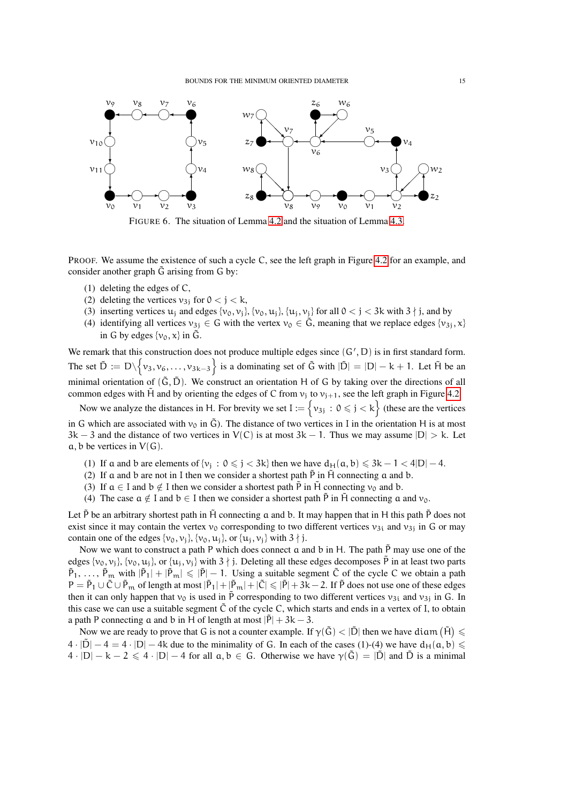

FIGURE 6. The situation of Lemma [4.2](#page-13-0) and the situation of Lemma [4.3.](#page-15-0)

PROOF. We assume the existence of such a cycle C, see the left graph in Figure [4.2](#page-13-0) for an example, and consider another graph  $\tilde{G}$  arising from G by:

- (1) deleting the edges of C,
- (2) deleting the vertices  $v_{3i}$  for  $0 < j < k$ ,
- (3) inserting vertices  $u_j$  and edges  $\{v_0, v_j\}$ ,  $\{v_0, u_j\}$ ,  $\{u_j, v_j\}$  for all  $0 < j < 3k$  with  $3 \nmid j$ , and by
- (4) identifying all vertices  $v_{3j} \in G$  with the vertex  $v_0 \in \tilde{G}$ , meaning that we replace edges  $\{v_{3j}, x\}$ in G by edges  $\{v_0, x\}$  in  $\tilde{G}$ .

We remark that this construction does not produce multiple edges since  $(G', D)$  is in first standard form. The set  $\tilde{D} := D \setminus \{v_3, v_6, \ldots, v_{3k-3}\}\$  is a dominating set of  $\tilde{G}$  with  $|\tilde{D}| = |D| - k + 1$ . Let  $\tilde{H}$  be an minimal orientation of  $(\tilde{G}, \tilde{D})$ . We construct an orientation H of G by taking over the directions of all common edges with  $\hat{H}$  and by orienting the edges of C from  $v_i$  to  $v_{i+1}$ , see the left graph in Figure [4.2.](#page-13-0)

Now we analyze the distances in H. For brevity we set  $I := \{v_{3j} : 0 \leq j < k\}$  (these are the vertices in G which are associated with  $v_0$  in  $\tilde{G}$ ). The distance of two vertices in I in the orientation H is at most  $3k - 3$  and the distance of two vertices in  $V(C)$  is at most  $3k - 1$ . Thus we may assume  $|D| > k$ . Let  $a, b$  be vertices in  $V(G)$ .

- (1) If a and b are elements of  $\{v_j : 0 \le j < 3k\}$  then we have  $d_H(a, b) \le 3k 1 < 4|D| 4$ .
- (2) If a and b are not in I then we consider a shortest path  $\tilde{P}$  in  $\tilde{H}$  connecting a and b.
- (3) If  $a \in I$  and  $b \notin I$  then we consider a shortest path  $\tilde{P}$  in  $\tilde{H}$  connecting  $v_0$  and b.
- (4) The case  $a \notin I$  and  $b \in I$  then we consider a shortest path  $\tilde{P}$  in  $\tilde{H}$  connecting a and  $v_0$ .

Let  $\bar{P}$  be an arbitrary shortest path in H $\bar{H}$  connecting a and b. It may happen that in H this path  $\bar{P}$  does not exist since it may contain the vertex  $v_0$  corresponding to two different vertices  $v_{3i}$  and  $v_{3j}$  in G or may contain one of the edges  $\{v_0, v_j\}$ ,  $\{v_0, u_j\}$ , or  $\{u_j, v_j\}$  with  $3 \nmid j$ .

Now we want to construct a path P which does connect  $\alpha$  and  $\beta$  in H. The path  $\tilde{P}$  may use one of the edges  $\{v_0, v_i\}$ ,  $\{v_0, u_i\}$ , or  $\{u_i, v_i\}$  with  $3 \nmid j$ . Deleting all these edges decomposes  $\tilde{P}$  in at least two parts  $\tilde{P}_1, \ldots, \tilde{P}_m$  with  $|\tilde{P}_1| + |\tilde{P}_m| \leq |\tilde{P}| - 1$ . Using a suitable segment  $\tilde{C}$  of the cycle C we obtain a path  $P = \tilde{P}_1 \cup \tilde{C} \cup \tilde{P}_m$  of length at most  $|\tilde{P}_1| + |\tilde{P}_m| + |\tilde{C}| \leq |\tilde{P}| + 3k - 2$ . If  $\tilde{P}$  does not use one of these edges then it can only happen that  $v_0$  is used in P corresponding to two different vertices  $v_{3i}$  and  $v_{3j}$  in G. In this case we can use a suitable segment  $\tilde{C}$  of the cycle C, which starts and ends in a vertex of I, to obtain a path P connecting a and b in H of length at most  $|\tilde{P}| + 3k - 3$ .

Now we are ready to prove that G is not a counter example. If  $\gamma(\tilde{G}) < |\tilde{D}|$  then we have diam  $(\tilde{H}) \leq$  $4 \cdot |\tilde{D}| - 4 = 4 \cdot |D| - 4k$  due to the minimality of G. In each of the cases (1)-(4) we have  $d_H(a, b) \le$  $4 \cdot |D| - k - 2 \leq 4 \cdot |D| - 4$  for all  $a, b \in G$ . Otherwise we have  $\gamma(\tilde{G}) = |\tilde{D}|$  and  $\tilde{D}$  is a minimal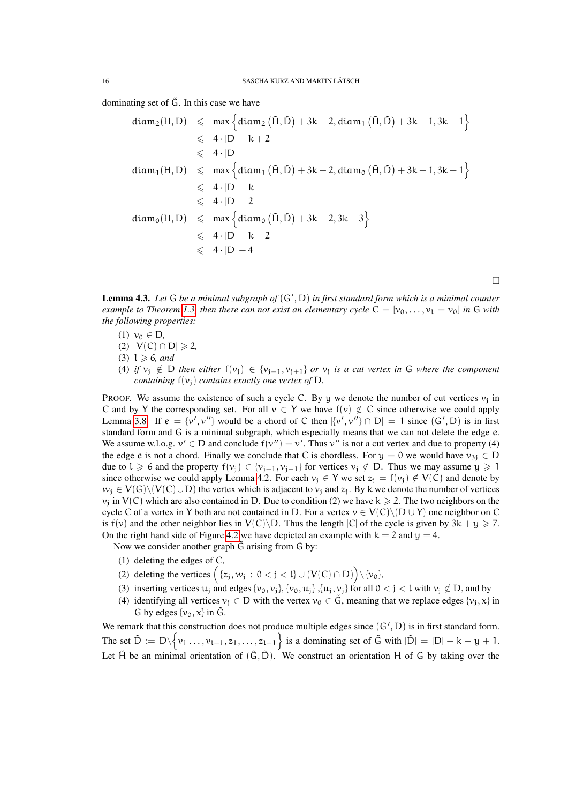dominating set of  $\tilde{G}$ . In this case we have

$$
diam_2(H, D) \leqslant max \left\{ diam_2 (\tilde{H}, \tilde{D}) + 3k - 2, diam_1 (\tilde{H}, \tilde{D}) + 3k - 1, 3k - 1 \right\}
$$
  
\n
$$
\leqslant 4 \cdot |D| - k + 2
$$
  
\n
$$
\leqslant 4 \cdot |D|
$$
  
\n
$$
diam_1(H, D) \leqslant max \left\{ diam_1 (\tilde{H}, \tilde{D}) + 3k - 2, diam_0 (\tilde{H}, \tilde{D}) + 3k - 1, 3k - 1 \right\}
$$
  
\n
$$
\leqslant 4 \cdot |D| - k
$$
  
\n
$$
\leqslant 4 \cdot |D| - 2
$$
  
\n
$$
diam_0(H, D) \leqslant max \left\{ diam_0 (\tilde{H}, \tilde{D}) + 3k - 2, 3k - 3 \right\}
$$
  
\n
$$
\leqslant 4 \cdot |D| - k - 2
$$
  
\n
$$
\leqslant 4 \cdot |D| - 4
$$

 $\Box$ 

<span id="page-15-0"></span>Lemma 4.3. Let G be a minimal subgraph of  $(G', D)$  in first standard form which is a minimal counter *example to Theorem [1.3,](#page-0-1) then there can not exist an elementary cycle*  $C = [v_0, \ldots, v_l = v_0]$  *in* G *with the following properties:*

- $(1)$   $\nu_0 \in D$ ,
- (2)  $|V(C) ∩ D| \ge 2$
- $(3)$   $l \geqslant 6$ *, and*
- (4) *if*  $v_j \notin D$  *then either*  $f(v_j) \in \{v_{j-1}, v_{j+1}\}$  *or*  $v_j$  *is a cut vertex in* G *where the component containing*  $f(v_i)$  *contains exactly one vertex of* D.

PROOF. We assume the existence of such a cycle C. By y we denote the number of cut vertices  $v_i$  in C and by Y the corresponding set. For all  $v \in Y$  we have  $f(v) \notin C$  since otherwise we could apply Lemma [3.8.](#page-12-0) If  $e = \{v', v''\}$  would be a chord of C then  $[\{v', v''\} \cap D] = 1$  since  $(G', D)$  is in first standard form and G is a minimal subgraph, which especially means that we can not delete the edge e. We assume w.l.o.g.  $v' \in D$  and conclude  $f(v'') = v'$ . Thus  $v''$  is not a cut vertex and due to property (4) the edge e is not a chord. Finally we conclude that C is chordless. For  $y = 0$  we would have  $v_{3i} \in D$ due to l  $\geqslant$  6 and the property  $f(v_i) \in \{v_{i-1}, v_{i+1}\}$  for vertices  $v_i \notin D$ . Thus we may assume  $y \geqslant 1$ since otherwise we could apply Lemma [4.2.](#page-13-0) For each  $v_i \in Y$  we set  $z_i = f(v_i) \notin V(C)$  and denote by  $w_i \in V(G)\setminus (V(C) \cup D)$  the vertex which is adjacent to  $v_i$  and  $z_i$ . By k we denote the number of vertices  $v_i$  in  $V(C)$  which are also contained in D. Due to condition (2) we have  $k \ge 2$ . The two neighbors on the cycle C of a vertex in Y both are not contained in D. For a vertex  $v \in V(C) \setminus (D \cup Y)$  one neighbor on C is  $f(v)$  and the other neighbor lies in  $V(C)\backslash D$ . Thus the length  $|C|$  of the cycle is given by  $3k + y \ge 7$ . On the right hand side of Figure [4.2](#page-13-0) we have depicted an example with  $k = 2$  and  $y = 4$ .

Now we consider another graph  $\tilde{G}$  arising from  $G$  by:

- (1) deleting the edges of C,
- (2) deleting the vertices  $(\{z_j, w_j : 0 < j < l\} \cup (V(C) \cap D)) \setminus \{v_0\},\$
- (3) inserting vertices  $u_i$  and edges  $\{v_0, v_i\}$ ,  $\{v_0, u_i\}$ ,  $\{u_i, v_i\}$  for all  $0 < j < l$  with  $v_i \notin D$ , and by
- (4) identifying all vertices  $v_i \in D$  with the vertex  $v_0 \in \tilde{G}$ , meaning that we replace edges  $\{v_i, x\}$  in G by edges  $\{v_0, x\}$  in  $\tilde{G}$ .

We remark that this construction does not produce multiple edges since  $(G', D)$  is in first standard form. The set  $\tilde{D} := D \setminus \{v_1, \ldots, v_{l-1}, z_1, \ldots, z_{l-1}\}$  is a dominating set of  $\tilde{G}$  with  $|\tilde{D}| = |D| - k - y + 1$ . Let  $\tilde{H}$  be an minimal orientation of  $(\tilde{G}, \tilde{D})$ . We construct an orientation H of G by taking over the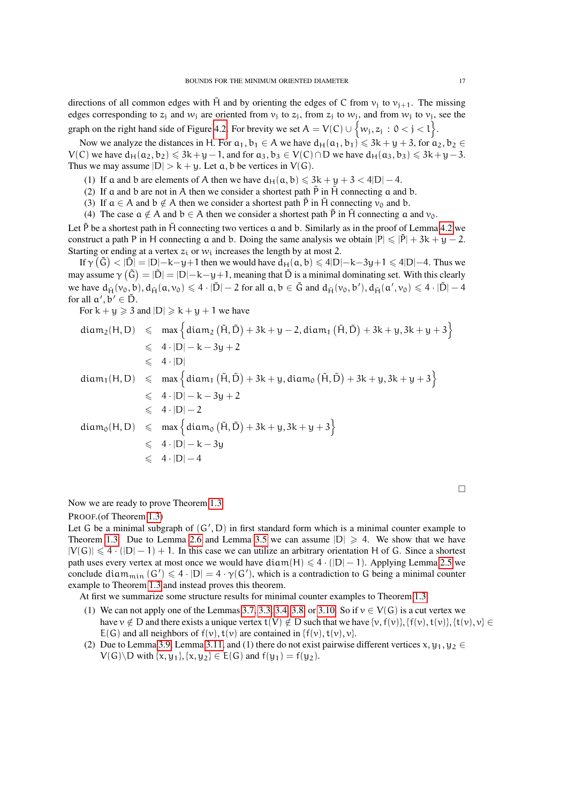directions of all common edges with  $\tilde{H}$  and by orienting the edges of C from  $v_i$  to  $v_{i+1}$ . The missing edges corresponding to  $z_j$  and  $w_j$  are oriented from  $v_j$  to  $z_j$ , from  $z_j$  to  $w_j$ , and from  $w_j$  to  $v_j$ , see the graph on the right hand side of Figure [4.2.](#page-13-0) For brevity we set  $A = V(C) \cup \{w_j, z_j : 0 < j < l\}$ .

Now we analyze the distances in H. For  $a_1, b_1 \in A$  we have  $d_H(a_1, b_1) \le 3k + y + 3$ , for  $a_2, b_2 \in A$  $V(C)$  we have  $d_H(a_2, b_2) \leq 3k+y-1$ , and for  $a_3, b_3 \in V(C) \cap D$  we have  $d_H(a_3, b_3) \leq 3k+y-3$ . Thus we may assume  $|D| > k + \gamma$ . Let a, b be vertices in  $V(G)$ .

(1) If a and b are elements of A then we have  $d_H(a, b) \le 3k + y + 3 < 4|D| - 4$ .

- (2) If a and b are not in A then we consider a shortest path  $\overline{P}$  in  $\overline{H}$  connecting a and b.
- (3) If  $a \in A$  and  $b \notin A$  then we consider a shortest path  $\overline{P}$  in  $\overline{H}$  connecting  $v_0$  and b.
- (4) The case  $a \notin A$  and  $b \in A$  then we consider a shortest path  $\tilde{P}$  in  $\tilde{H}$  connecting a and  $v_0$ .

Let  $\tilde{P}$  be a shortest path in  $\tilde{H}$  connecting two vertices a and b. Similarly as in the proof of Lemma [4.2](#page-13-0) we construct a path P in H connecting a and b. Doing the same analysis we obtain  $|P| \leq |\tilde{P}| + 3k + y - 2$ . Starting or ending at a vertex  $z_i$  or  $w_i$  increases the length by at most 2.

If  $\gamma(\tilde{G}) < |\tilde{D}| = |D| - k - y + 1$  then we would have  $d_H(a, b) \le 4|D| - k - 3y + 1 \le 4|D| - 4$ . Thus we may assume  $\gamma(\tilde{G}) = |\tilde{D}| = |D| - k - y + 1$ , meaning that  $\tilde{D}$  is a minimal dominating set. With this clearly we have  $d_{\tilde{H}}(v_0, b), d_{\tilde{H}}(a, v_0) \leq 4 \cdot |\tilde{D}| - 2$  for all  $a, b \in \tilde{G}$  and  $d_{\tilde{H}}(v_0, b'), d_{\tilde{H}}(a', v_0) \leq 4 \cdot |\tilde{D}| - 4$ for all  $a', b' \in \tilde{D}$ .

For  $k + y \ge 3$  and  $|D| \ge k + y + 1$  we have

$$
\begin{array}{lcl} \text{diam}_2(H, D) & \leqslant & \max \Big\{ \text{diam}_2 \left( \tilde{H}, \tilde{D} \right) + 3k + y - 2, \text{diam}_1 \left( \tilde{H}, \tilde{D} \right) + 3k + y, 3k + y + 3 \Big\} \\ & \leqslant & 4 \cdot |D| - k - 3y + 2 \\ & \leqslant & 4 \cdot |D| \\ \text{diam}_1(H, D) & \leqslant & \max \Big\{ \text{diam}_1 \left( \tilde{H}, \tilde{D} \right) + 3k + y, \text{diam}_0 \left( \tilde{H}, \tilde{D} \right) + 3k + y, 3k + y + 3 \Big\} \\ & \leqslant & 4 \cdot |D| - k - 3y + 2 \\ & \leqslant & 4 \cdot |D| - 2 \\ \text{diam}_0(H, D) & \leqslant & \max \Big\{ \text{diam}_0 \left( \tilde{H}, \tilde{D} \right) + 3k + y, 3k + y + 3 \Big\} \\ & \leqslant & 4 \cdot |D| - k - 3y \\ & \leqslant & 4 \cdot |D| - 4 \end{array}
$$

Now we are ready to prove Theorem [1.3:](#page-0-1)

PROOF.(of Theorem [1.3\)](#page-0-1)

Let G be a minimal subgraph of  $(G', D)$  in first standard form which is a minimal counter example to Theorem [1.3.](#page-0-1) Due to Lemma [2.6](#page-5-2) and Lemma [3.5](#page-10-0) we can assume  $|D| \ge 4$ . We show that we have  $|V(G)| \leq 4 \cdot (|D|-1) + 1$ . In this case we can utilize an arbitrary orientation H of G. Since a shortest path uses every vertex at most once we would have diam(H)  $\leq 4 \cdot (|D|-1)$ . Applying Lemma [2.5](#page-4-1) we conclude diam<sub>min</sub>  $(G') \leq 4 \cdot |D| = 4 \cdot \gamma(G')$ , which is a contradiction to G being a minimal counter example to Theorem [1.3](#page-0-1) and instead proves this theorem.

At first we summarize some structure results for minimal counter examples to Theorem [1.3.](#page-0-1)

- (1) We can not apply one of the Lemmas [3.7,](#page-10-2) [3.3,](#page-8-0) [3.4,](#page-9-0) [3.8,](#page-12-0) or [3.10.](#page-13-1) So if  $v \in V(G)$  is a cut vertex we have  $v \notin D$  and there exists a unique vertex  $t(V) \notin D$  such that we have  $\{v, f(v)\}, \{f(v), t(v)\}, \{t(v), v\} \in D$  $E(G)$  and all neighbors of  $f(v)$ ,  $t(v)$  are contained in  $\{f(v), t(v), v\}$ .
- (2) Due to Lemma [3.9,](#page-12-1) Lemma [3.11,](#page-13-2) and (1) there do not exist pairwise different vertices  $x, y_1, y_2 \in$  $V(G)\ D$  with  $\{x, y_1\}, \{x, y_2\} \in E(G)$  and  $f(y_1) = f(y_2)$ .

 $\overline{\phantom{0}}$ 

 $\Box$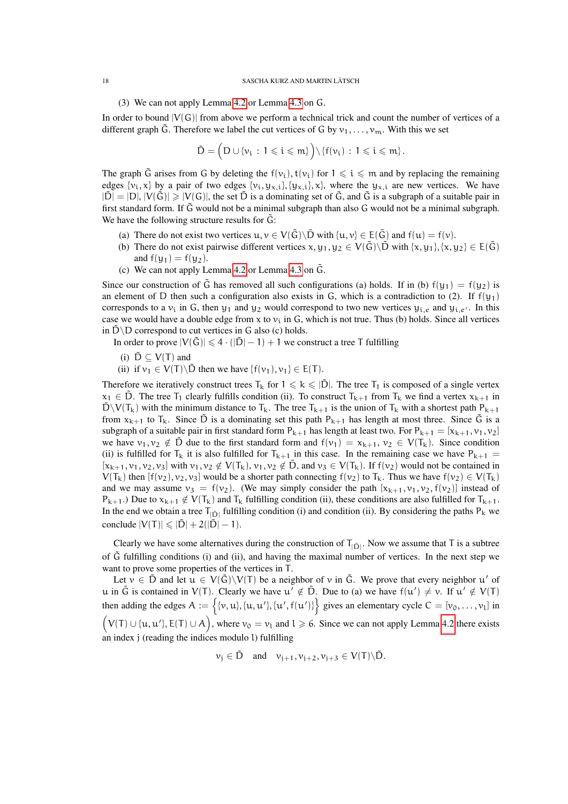#### 18 SASCHA KURZ AND MARTIN LÄTSCH

## (3) We can not apply Lemma [4.2](#page-13-0) or Lemma [4.3](#page-15-0) on G.

In order to bound  $|V(G)|$  from above we perform a technical trick and count the number of vertices of a different graph  $\tilde{G}$ . Therefore we label the cut vertices of G by  $v_1, \ldots, v_m$ . With this we set

$$
\tilde{D} = \Big(D \cup \{\nu_i \, : \, 1 \leqslant i \leqslant m\} \Big) \backslash \{f(\nu_i) \, : \, 1 \leqslant i \leqslant m\} \, .
$$

The graph  $\tilde{G}$  arises from G by deleting the  $f(v_i)$ ,  $t(v_i)$  for  $1 \leq i \leq m$  and by replacing the remaining edges  $\{v_i, x\}$  by a pair of two edges  $\{v_i, y_{x,i}\}, \{y_{x,i}\}, x\}$ , where the  $y_{x,i}$  are new vertices. We have  $|\tilde{D}| = |D|, |V(\tilde{G})| \geq |V(G)|$ , the set  $\tilde{D}$  is a dominating set of  $\tilde{G}$ , and  $\tilde{G}$  is a subgraph of a suitable pair in first standard form. If  $\tilde{G}$  would not be a minimal subgraph than also G would not be a minimal subgraph. We have the following structure results for  $\tilde{G}$ :

- (a) There do not exist two vertices  $u, v \in V(\tilde{G}) \setminus \tilde{D}$  with  $\{u, v\} \in E(\tilde{G})$  and  $f(u) = f(v)$ .
- (b) There do not exist pairwise different vertices  $x, y_1, y_2 \in V(\tilde{G})\setminus \tilde{D}$  with  $\{x, y_1\}, \{x, y_2\} \in E(\tilde{G})$ and  $f(y_1) = f(y_2)$ .
- (c) We can not apply Lemma [4.2](#page-13-0) or Lemma [4.3](#page-15-0) on  $\tilde{G}$ .

Since our construction of  $\tilde{G}$  has removed all such configurations (a) holds. If in (b)  $f(y_1) = f(y_2)$  is an element of D then such a configuration also exists in G, which is a contradiction to (2). If  $f(y_1)$ corresponds to a  $v_i$  in G, then  $y_1$  and  $y_2$  would correspond to two new vertices  $y_i$ , and  $y_i$ ,  $e^i$ . In this case we would have a double edge from x to  $v_i$  in G, which is not true. Thus (b) holds. Since all vertices in  $\tilde{D} \backslash D$  correspond to cut vertices in G also (c) holds.

In order to prove  $|V(\tilde{G})| \leq 4 \cdot (|\tilde{D}| - 1) + 1$  we construct a tree T fulfilling

- (i)  $\tilde{D} \subseteq V(T)$  and
- (ii) if  $v_1 \in V(T) \backslash \tilde{D}$  then we have  $\{f(v_1), v_1\} \in E(T)$ .

Therefore we iteratively construct trees  $T_k$  for  $1 \le k \le |\tilde{D}|$ . The tree  $T_1$  is composed of a single vertex  $x_1 \in \overline{D}$ . The tree T<sub>1</sub> clearly fulfills condition (ii). To construct T<sub>k+1</sub> from T<sub>k</sub> we find a vertex  $x_{k+1}$  in  $\tilde{D} \setminus V(T_k)$  with the minimum distance to  $T_k$ . The tree  $T_{k+1}$  is the union of  $T_k$  with a shortest path  $P_{k+1}$ from  $x_{k+1}$  to  $T_k$ . Since  $\tilde{D}$  is a dominating set this path  $P_{k+1}$  has length at most three. Since  $\tilde{G}$  is a subgraph of a suitable pair in first standard form  $P_{k+1}$  has length at least two. For  $P_{k+1} = [x_{k+1}, v_1, v_2]$ we have  $v_1, v_2 \notin \tilde{D}$  due to the first standard form and  $f(v_1) = x_{k+1}, v_2 \in V(T_k)$ . Since condition (ii) is fulfilled for  $T_k$  it is also fulfilled for  $T_{k+1}$  in this case. In the remaining case we have  $P_{k+1}$  =  $[x_{k+1}, y_1, y_2, y_3]$  with  $y_1, y_2 \notin V(T_k)$ ,  $y_1, y_2 \notin \tilde{D}$ , and  $y_3 \in V(T_k)$ . If  $f(y_2)$  would not be contained in  $V(T_k)$  then  $[f(v_2), v_2, v_3]$  would be a shorter path connecting  $f(v_2)$  to  $T_k$ . Thus we have  $f(v_2) \in V(T_k)$ and we may assume  $v_3 = f(v_2)$ . (We may simply consider the path  $[x_{k+1}, v_1, v_2, f(v_2)]$  instead of  $P_{k+1}$ .) Due to  $x_{k+1} \notin V(T_k)$  and  $T_k$  fulfilling condition (ii), these conditions are also fulfilled for  $T_{k+1}$ . In the end we obtain a tree  $T_{|\tilde{D}|}$  fulfilling condition (i) and condition (ii). By considering the paths  $P_k$  we conclude  $|V(T)| \leq |\tilde{D}| + 2(|\tilde{D}| - 1)$ .

Clearly we have some alternatives during the construction of  $T_{|\tilde{D}|}$ . Now we assume that T is a subtree of  $\tilde{G}$  fulfilling conditions (i) and (ii), and having the maximal number of vertices. In the next step we want to prove some properties of the vertices in T.

Let  $v \in \tilde{D}$  and let  $u \in V(\tilde{G}) \setminus V(T)$  be a neighbor of v in  $\tilde{G}$ . We prove that every neighbor u' of u in  $\tilde{G}$  is contained in  $V(T)$ . Clearly we have  $u' \notin \tilde{D}$ . Due to (a) we have  $f(u') \neq v$ . If  $u' \notin V(T)$ then adding the edges  $A := \{ \{v, u\}, \{u, u'\}, \{u', f(u')\} \}$  gives an elementary cycle  $C = [v_0, \dots, v_l]$  in  $(V(T) \cup \{u, u'\}, E(T) \cup A)$ , where  $v_0 = v_1$  and  $l \geq 6$ . Since we can not apply Lemma [4.2](#page-13-0) there exists an index j (reading the indices modulo l) fulfilling

$$
\nu_j\in \tilde{D}\quad \text{and}\quad \nu_{j+1},\nu_{j+2},\nu_{j+3}\in V(T)\backslash \tilde{D}.
$$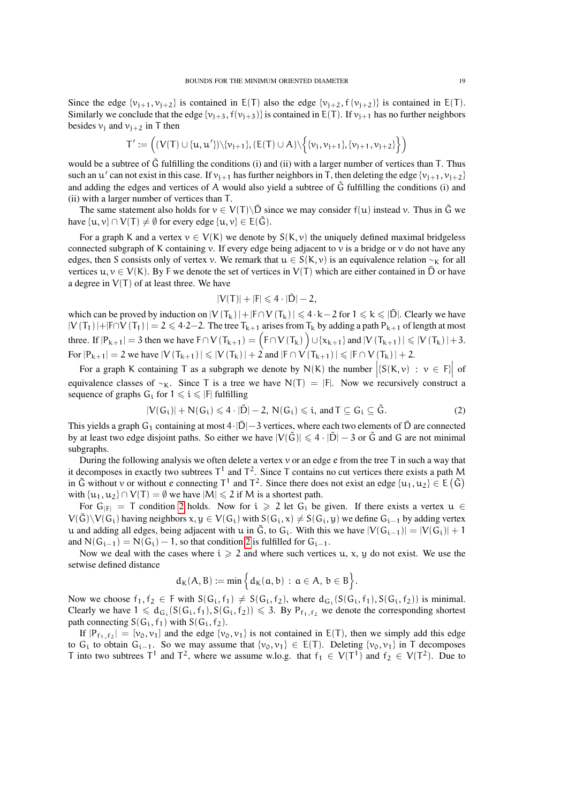Since the edge  $\{v_{i+1}, v_{i+2}\}$  is contained in  $E(T)$  also the edge  $\{v_{i+2}, f(v_{i+2})\}$  is contained in  $E(T)$ . Similarly we conclude that the edge  $\{v_{j+3}, f(v_{j+3})\}$  is contained in E(T). If  $v_{j+1}$  has no further neighbors besides  $v_i$  and  $v_{i+2}$  in T then

$$
T':=\Big((V(T)\cup\{u,u'\})\backslash\{\nu_{j+1}\},(E(T)\cup A)\backslash\Big\{\{\nu_j,\nu_{j+1}\},\{\nu_{j+1},\nu_{j+2}\}\Big\}\Big)
$$

would be a subtree of  $\tilde{G}$  fulfilling the conditions (i) and (ii) with a larger number of vertices than T. Thus such an  $u'$  can not exist in this case. If  $v_{j+1}$  has further neighbors in T, then deleting the edge  $\{v_{j+1}, v_{j+2}\}$ and adding the edges and vertices of A would also yield a subtree of  $\tilde{G}$  fulfilling the conditions (i) and (ii) with a larger number of vertices than T.

The same statement also holds for  $v \in V(T) \backslash \tilde{D}$  since we may consider  $f(u)$  instead v. Thus in  $\tilde{G}$  we have  $\{u, v\} \cap V(T) \neq \emptyset$  for every edge  $\{u, v\} \in E(\tilde{G})$ .

For a graph K and a vertex  $v \in V(K)$  we denote by  $S(K, v)$  the uniquely defined maximal bridgeless connected subgraph of K containing v. If every edge being adjacent to v is a bridge or v do not have any edges, then S consists only of vertex v. We remark that  $u \in S(K, v)$  is an equivalence relation ~<sub>K</sub> for all vertices  $u, v \in V(K)$ . By F we denote the set of vertices in  $V(T)$  which are either contained in  $\tilde{D}$  or have a degree in  $V(T)$  of at least three. We have

$$
|V(T)|+|F|\leqslant 4\cdot|\tilde{D}|-2,
$$

which can be proved by induction on  $|V(T_k)|+|F\cap V(T_k)| \leq 4 \cdot k-2$  for  $1 \leq k \leq |\tilde{D}|$ . Clearly we have  $|V(T_1)|+|F\cap V(T_1)|=2 \le 4.2-2$ . The tree  $T_{k+1}$  arises from  $T_k$  by adding a path  $P_{k+1}$  of length at most three. If  $|P_{k+1}| = 3$  then we have  $F \cap V(T_{k+1}) = (F \cap V(T_k)) \cup \{x_{k+1}\}$  and  $|V(T_{k+1})| \le |V(T_k)| + 3$ . For  $|P_{k+1}| = 2$  we have  $|V(T_{k+1})| \le |V(T_k)| + 2$  and  $|F \cap V(T_{k+1})| \le |F \cap V(T_k)| + 2$ .

For a graph K containing T as a subgraph we denote by N(K) the number  $(S(K, \nu) : \nu \in F)$  of equivalence classes of  $~\sim$ K. Since T is a tree we have N(T) = |F|. Now we recursively construct a sequence of graphs  $G_i$  for  $1 \leq i \leq |F|$  fulfilling

<span id="page-18-0"></span>
$$
|V(G_i)| + N(G_i) \leqslant 4 \cdot |\tilde{D}| - 2, \, N(G_i) \leqslant i, \, \text{and} \, T \subseteq G_i \subseteq \tilde{G}. \tag{2}
$$

This yields a graph G<sub>1</sub> containing at most  $4\cdot|\tilde{D}|-3$  vertices, where each two elements of  $\tilde{D}$  are connected by at least two edge disjoint paths. So either we have  $|V(\tilde{G})| \leq 4 \cdot |\tilde{D}| - 3$  or  $\tilde{G}$  and G are not minimal subgraphs.

During the following analysis we often delete a vertex  $\nu$  or an edge  $e$  from the tree T in such a way that it decomposes in exactly two subtrees  $T^1$  and  $T^2$ . Since T contains no cut vertices there exists a path M in  $\tilde{G}$  without v or without e connecting  $T^1$  and  $T^2$ . Since there does not exist an edge  $\{u_1, u_2\} \in E(\tilde{G})$ with  $\{u_1, u_2\} \cap V(T) = \emptyset$  we have  $|M| \le 2$  if M is a shortest path.

For  $G_{|F|} = T$  condition [2](#page-18-0) holds. Now for  $i \ge 2$  let  $G_i$  be given. If there exists a vertex  $u \in$  $V(\tilde{G})\backslash V(G_i)$  having neighbors  $x, y \in V(G_i)$  with  $S(G_i, x) \neq S(G_i, y)$  we define  $G_{i-1}$  by adding vertex u and adding all edges, being adjacent with u in  $\tilde{G}$ , to  $G_i$ . With this we have  $|V(G_{i-1})| = |V(G_i)| + 1$ and  $N(G_{i-1}) = N(G_i) - 1$ , so that condition [2](#page-18-0) is fulfilled for  $G_{i-1}$ .

Now we deal with the cases where  $i \geqslant 2$  and where such vertices u, x, y do not exist. We use the setwise defined distance

$$
d_K(A,B):=\text{min}\,\Big\{d_K(\mathfrak{a},b)\,:\,\mathfrak{a}\in A,\,b\in B\Big\}.
$$

Now we choose  $f_1, f_2 \in F$  with  $S(G_i, f_1) \neq S(G_i, f_2)$ , where  $d_{G_i}(S(G_i, f_1), S(G_i, f_2))$  is minimal. Clearly we have  $1 \leq d_{G_i}(S(G_i, f_1), S(G_i, f_2)) \leq 3$ . By  $P_{f_1, f_2}$  we denote the corresponding shortest path connecting  $S(G_i, f_1)$  with  $S(G_i, f_2)$ .

If  $|P_{f_1,f_2}| = [v_0, v_1]$  and the edge  $\{v_0, v_1\}$  is not contained in E(T), then we simply add this edge to G<sub>i</sub> to obtain G<sub>i−1</sub>. So we may assume that  $\{v_0, v_1\} \in E(T)$ . Deleting  $\{v_0, v_1\}$  in T decomposes T into two subtrees  $T^1$  and  $T^2$ , where we assume w.lo.g. that  $f_1 \in V(T^1)$  and  $f_2 \in V(T^2)$ . Due to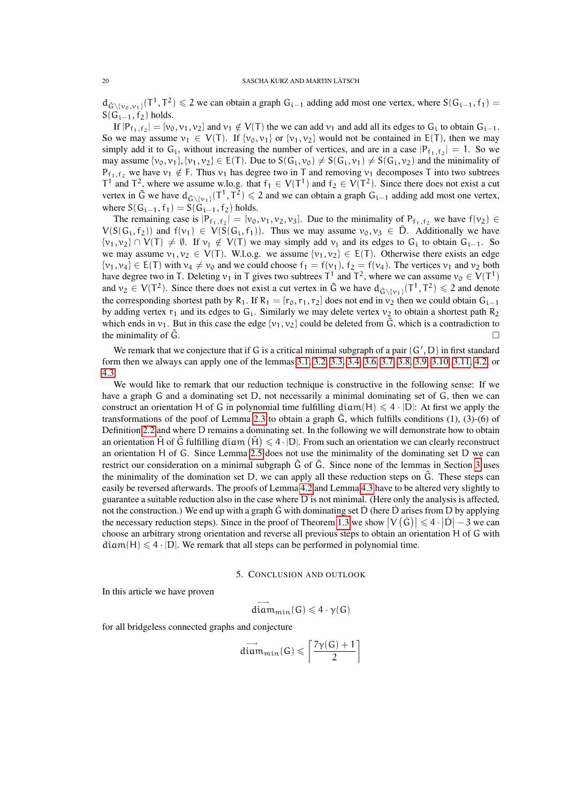$d_{\tilde{G}\setminus \{v_0,v_1\}}(T^1, T^2) \leq 2$  we can obtain a graph  $G_{i-1}$  adding add most one vertex, where  $S(G_{i-1}, f_1)$  $S(G_{i-1}, f_2)$  holds.

If  $|P_{f_1,f_2}| = [v_0, v_1, v_2]$  and  $v_1 \notin V(T)$  the we can add  $v_1$  and add all its edges to  $G_i$  to obtain  $G_{i-1}$ . So we may assume  $v_1 \in V(T)$ . If  $\{v_0, v_1\}$  or  $\{v_1, v_2\}$  would not be contained in E(T), then we may simply add it to  $G_i$ , without increasing the number of vertices, and are in a case  $|P_{f_1,f_2}| = 1$ . So we may assume  $\{v_0, v_1\}, \{v_1, v_2\} \in E(T)$ . Due to  $S(G_i, v_0) \neq S(G_i, v_1) \neq S(G_i, v_2)$  and the minimality of  $P_{f_1,f_2}$  we have  $v_1 \notin F$ . Thus  $v_1$  has degree two in T and removing  $v_1$  decomposes T into two subtrees T<sup>1</sup> and T<sup>2</sup>, where we assume w.lo.g. that  $f_1 \in V(T^1)$  and  $f_2 \in V(T^2)$ . Since there does not exist a cut vertex in  $\tilde{G}$  we have  $d_{\tilde{G} \setminus \{v_1\}}(T^1, T^2) \leq 2$  and we can obtain a graph  $G_{i-1}$  adding add most one vertex, where  $S(G_{i-1}, f_1) = S(G_{i-1}, f_2)$  holds.

The remaining case is  $|P_{f_1,f_2}| = [v_0, v_1, v_2, v_3]$ . Due to the minimality of  $P_{f_1,f_2}$  we have  $f(v_2) \in$  $V(S(G_i, f_2))$  and  $f(v_1) \in V(S(G_i, f_1))$ . Thus we may assume  $v_0, v_3 \in \tilde{D}$ . Additionally we have  $\{v_1, v_2\} \cap V(T) \neq \emptyset$ . If  $v_i \notin V(T)$  we may simply add  $v_j$  and its edges to G<sub>i</sub> to obtain G<sub>i-1</sub>. So we may assume  $v_1, v_2 \in V(T)$ . W.l.o.g. we assume  $\{v_1, v_2\} \in E(T)$ . Otherwise there exists an edge  $\{v_1, v_4\} \in E(T)$  with  $v_4 \neq v_0$  and we could choose  $f_1 = f(v_1)$ ,  $f_2 = f(v_4)$ . The vertices  $v_1$  and  $v_2$  both have degree two in T. Deleting  $v_1$  in T gives two subtrees T<sup>1</sup> and T<sup>2</sup>, where we can assume  $v_0 \in V(T^1)$ and  $v_2 \in V(T^2)$ . Since there does not exist a cut vertex in  $\tilde{G}$  we have  $d_{\tilde{G}\setminus\{v_1\}}(T^1, T^2) \leq 2$  and denote the corresponding shortest path by R<sub>1</sub>. If R<sub>1</sub> = [r<sub>0</sub>, r<sub>1</sub>, r<sub>2</sub>] does not end in  $v_2$  then we could obtain G<sub>i−1</sub> by adding vertex  $r_1$  and its edges to  $G_i$ . Similarly we may delete vertex  $v_2$  to obtain a shortest path  $R_2$ which ends in  $v_1$ . But in this case the edge  $\{v_1, v_2\}$  could be deleted from  $\tilde{G}$ , which is a contradiction to the minimality of  $\tilde{G}$ .

We remark that we conjecture that if G is a critical minimal subgraph of a pair  $(G', D)$  in first standard form then we always can apply one of the lemmas [3.1,](#page-7-0) [3.2,](#page-7-1) [3.3,](#page-8-0) [3.4,](#page-9-0) [3.6,](#page-10-1) [3.7,](#page-10-2) [3.8,](#page-12-0) [3.9,](#page-12-1) [3.10,](#page-13-1) [3.11,](#page-13-2) [4.2,](#page-13-0) or [4.3.](#page-15-0)

We would like to remark that our reduction technique is constructive in the following sense: If we have a graph G and a dominating set D, not necessarily a minimal dominating set of G, then we can construct an orientation H of G in polynomial time fulfilling diam(H)  $\leq 4 \cdot |D|$ : At first we apply the transformations of the poof of Lemma [2.3](#page-2-1) to obtain a graph  $\tilde{G}$ , which fulfills conditions (1), (3)-(6) of Definition [2.2](#page-2-0) and where D remains a dominating set. In the following we will demonstrate how to obtain an orientation  $\tilde{H}$  of  $\tilde{G}$  fulfilling diam  $(\tilde{H}) \leq 4 \cdot |D|$ . From such an orientation we can clearly reconstruct an orientation H of G. Since Lemma [2.5](#page-4-1) does not use the minimality of the dominating set D we can restrict our consideration on a minimal subgraph  $\hat{G}$  of  $\tilde{G}$ . Since none of the lemmas in Section [3](#page-7-2) uses the minimality of the domination set D, we can apply all these reduction steps on  $\hat{G}$ . These steps can easily be reversed afterwards. The proofs of Lemma [4.2](#page-13-0) and Lemma [4.3](#page-15-0) have to be altered very slightly to guarantee a suitable reduction also in the case where D is not minimal. (Here only the analysis is affected, not the construction.) We end up with a graph G with dominating set D (here D arises from D by applying the necessary reduction steps). Since in the proof of Theorem [1.3](#page-0-1) we show  $|V(G)| \leq 4 \cdot |D|-3$  we can choose an arbitrary strong orientation and reverse all previous steps to obtain an orientation H of G with  $diam(H) \leq 4 \cdot |D|$ . We remark that all steps can be performed in polynomial time.

5. CONCLUSION AND OUTLOOK

In this article we have proven

$$
\overrightarrow{diam_{\min}}(G) \leqslant 4 \cdot \gamma(G)
$$

for all bridgeless connected graphs and conjecture

$$
\overrightarrow{\text{diam}_{\min}}(G) \leqslant \left\lceil \frac{7\gamma(G)+1}{2} \right\rceil
$$